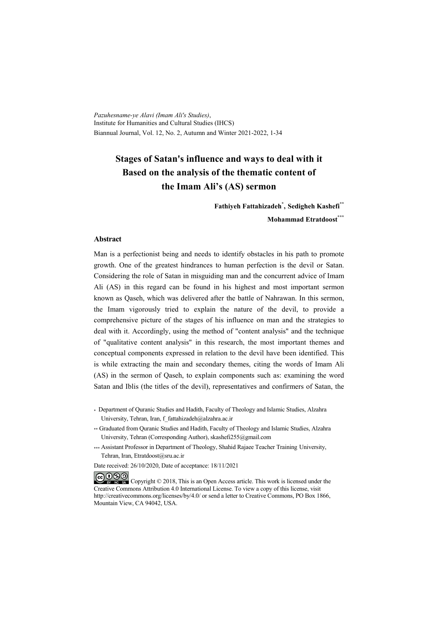*Pazuhesname-ye Alavi (Imam Ali's Studies)*, Institute for Humanities and Cultural Studies (IHCS) Biannual Journal, Vol. 12, No. 2, Autumn and Winter 2021-2022, 1-34

## **Stages of Satan's influence and ways to deal with it Based on the analysis of the thematic content of the Imam Ali's (AS) sermon**

**Fathiyeh Fattahizadeh\* , Sedigheh Kashefi\*\* Mohammad Etratdoost\*\*\***

#### **Abstract**

Man is a perfectionist being and needs to identify obstacles in his path to promote growth. One of the greatest hindrances to human perfection is the devil or Satan. Considering the role of Satan in misguiding man and the concurrent advice of Imam Ali (AS) in this regard can be found in his highest and most important sermon known as Qaseh, which was delivered after the battle of Nahrawan. In this sermon, the Imam vigorously tried to explain the nature of the devil, to provide a comprehensive picture of the stages of his influence on man and the strategies to deal with it. Accordingly, using the method of "content analysis" and the technique of "qualitative content analysis" in this research, the most important themes and conceptual components expressed in relation to the devil have been identified. This is while extracting the main and secondary themes, citing the words of Imam Ali (AS) in the sermon of Qaseh, to explain components such as: examining the word Satan and Iblis (the titles of the devil), representatives and confirmers of Satan, the

- \* Department of Quranic Studies and Hadith, Faculty of Theology and Islamic Studies, Alzahra University, Tehran, Iran, f\_fattahizadeh@alzahra.ac.ir
- \*\* Graduated from Quranic Studies and Hadith, Faculty of Theology and Islamic Studies, Alzahra University, Tehran (Corresponding Author), skashefi255@gmail.com
- \*\*\* Assistant Professor in Department of Theology, Shahid Rajaee Teacher Training University, Tehran, Iran, Etratdoost@sru.ac.ir

Date received: 26/10/2020, Date of acceptance: 18/11/2021

COOO Copyright © 2018, This is an Open Access article. This work is licensed under the Creative Commons Attribution 4.0 International License. To view a copy of this license, visit http://creativecommons.org/licenses/by/4.0/ or send a letter to Creative Commons, PO Box 1866, Mountain View, CA 94042, USA.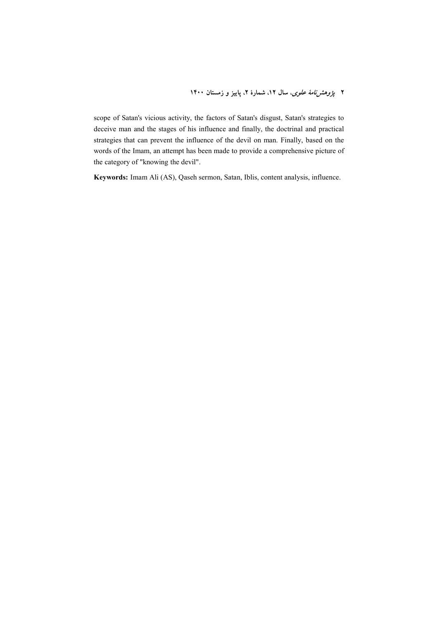**۲** *پژوهشزنامهٔ علوی*، سال ۱۲، شمارهٔ ۲، پاییز و زمستان ۱۴۰۰

scope of Satan's vicious activity, the factors of Satan's disgust, Satan's strategies to deceive man and the stages of his influence and finally, the doctrinal and practical strategies that can prevent the influence of the devil on man. Finally, based on the words of the Imam, an attempt has been made to provide a comprehensive picture of the category of "knowing the devil".

**Keywords:** Imam Ali (AS), Qaseh sermon, Satan, Iblis, content analysis, influence.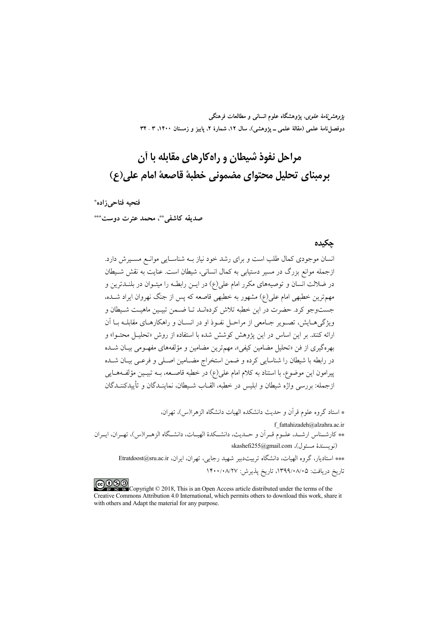*پژوهشنامهٔ علوی*، پژوهشگاه علوم انسانی و مطالعات فرهنگی دوفصلiاههٔ علمی (مقالهٔ علمی ــ پژوهشی)، سال ۱۲، شمارهٔ ۲، پاییز و زمستان ۱۴۰۰، ۳ ـ ۳۴

# مراحل نفوذ شیطان و راهکارهای مقابله با آن برمبناي تحليل محتواي مضموني خطبة قاصعة امام على(ع)

فتحيه فتاحي زاده\*

صديقه كاشفي. ٌ محمد عترت دوست\*\*\*

#### حكىدە

انسان موجودی کمال طلب است و برای رشد خود نیاز بـه شناسـایی موانــع مســیرش دارد. ازجمله موانع بزرگ در مسیر دستیابی به کمال انسانی، شیطان است. عنایت به نقش شـیطان در ضلالت انسان و توصیههای مکرر امام علی(ع) در ایــن رابطــه را میتــوان در بلنــدترین و مهم ترین خطبهی امام علی(ع) مشهور به خطبهی قاصعه که پس از جنگ نهروان ایراد شــده، جستوجو کرد. حضرت در این خطبه تلاش کردهانــد تــا ضــمن تبیــین ماهیــت شــیطان و ویژگی هـایش، تصـویر جـامعی از مراحـل نفـوذ او در انســان و راهکارهـای مقابلــه بــا آن ارائه کنند. بر این اساس در این یژوهش کوشش شده با استفاده از روش «تحلیـل محتـوا» و بهرهگیری از فن «تحلیل مضامین کیفی»، مهمترین مضامین و مؤلفههای مفهـومی بیـان شــده در رابطه با شیطان را شناسایی کرده و ضمن استخراج مضــامین اصــلی و فرعــی بیــان شــده پیرامون این موضوع، با استناد به کلام امام علی(ع) در خطبه قاصـعه، بــه تبیــین مؤلفــههــایی ازجمله: بررسی واژه شیطان و ابلیس در خطبه، القــاب شــیطان، نماینــدگان و تأییدکننــدگان

\* استاد گروه علوم قرآن و حدیث دانشکده الهیات دانشگاه الزهر ا(س)، تهران، f fattahizadeh@alzahra.ac.ir \*\* كارشـناس ارشـد، علـوم قـر أن و حـديث، دانشـكدهٔ الهيـات، دانشـگاه الزهـرا(س)، تهـران، ايـران (نويسندة مسئول)، skashefi255@gmail.com \*\*\* استادیار، گروه الهیات، دانشگاه تربیتدبیر شهید رجایی، تهران، ایران، Etratdoost@sru.ac.ir تاريخ دريافت: ١٣٩٩/٠٨/٠٥، تاريخ پذيرش: ١۴٠٠/٠٨/٢٧

COOD Copyright © 2018, This is an Open Access article distributed under the terms of the Creative Commons Attribution 4.0 International, which permits others to download this work, share it with others and Adapt the material for any purpose.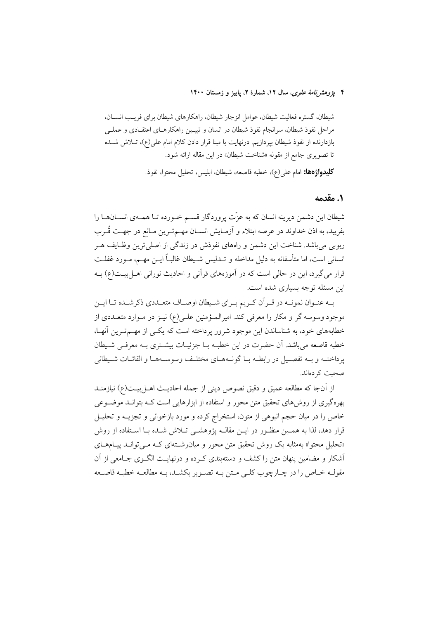#### ۴ يژ*وهش نامهٔ علوی*، سال ۱۲، شمارهٔ ۲، پاییز و زمستان ۱۴۰۰

شیطان، گستره فعالیت شیطان، عوامل انزجار شیطان، راهکارهای شیطان برای فریـب انســان، مراحل نفوذ شیطان، سرانجام نفوذ شیطان در انسان و تبیـین راهکارهـای اعتقـادی و عملـی بازدارنده از نفوذ شیطان بپردازیم. درنهایت با مبنا قرار دادن کلام امام علی(ع)، تــلاش شــده تا تصویری جامع از مقوله «شناخت شیطان» در این مقاله ارائه شود. **كليدواژهها:** امام على(ع)، خطبه قاصعه، شيطان، ابليس، تحليل محتوا، نفوذ.

#### ٠. مقدمه

شیطان این دشمن دیرینه انسان که به عزّت پروردگار قسـم خـورده تـا همـهی انســانهــا را بفريبد، به اذن خداوند در عرصه ابتلاء و آزمـايش انســان مهــمتـرين مــانع در جهــت قُــرب ربوبي مي باشد. شناخت اين دشمن و راههاي نفوذش در زندگي از اصلي ترين وظـايف هــر انسانی است، اما متأسفانه به دلیل مداخله و تــدلیس شــیطان غالبــاً ایــن مهــم، مــورد غفلــت قرار می گیرد، این در حالی است که در آموزههای قرآنی و احادیث نورانی اهــل بیــت(ع) بــه این مسئله توجه بسیاری شده است.

به عنـوان نمونـه در قـراَن كـريم بـراي شـيطان اوصـاف متعـددي ذكرشـده تـا ايـن موجود وسوسه گر و مکار را معرفی کند. امیرالمـؤمنین علـی(ع) نیــز در مــوارد متعــددی از خطابههای خود، به شناساندن این موجود شرور پرداخته است که یکسی از مهسمترین آنها، خطبه قاصعه می باشد. آن حضرت در این خطبـه بــا جزئیــات بیشــتری بــه معرفــی شــیطان پرداختــه و بــه تفصــيل در رابطــه بــا گونــههــاي مختلــف وسوســههــا و القائــات شــيطاني صحبت کر دهاند.

از آنجا كه مطالعه عميق و دقيق نصوص ديني از جمله احاديث اهـل بيـت(ع) نيازمنــد بهرهگیری از روشهای تحقیق متن محور و استفاده از ابزارهایی است کـه بتوانـد موضـوعی خاص را در میان حجم انبوهی از متون، استخراج کرده و مورد بازخوانی و تجزیــه و تحلیــل قرار دهد، لذا به همـین منظـور در ایـن مقالــه پژوهشــی تــلاش شــده بــا اســتفاده از روش «تحلیل محتوا» بهمثابه یک روش تحقیق متن محور و میان رشتهای کـه مـی توانـد پیـامهـای أشكار و مضامین ینهان متن را كشف و دستهبندی كـرده و درنهایـت الگــوی جــامعی از آن مقولـه خــاص را در چــارچوب كلــى مــتن بــه تصــوير بكشــد، بــه مطالعــه خطبــه قاصــعه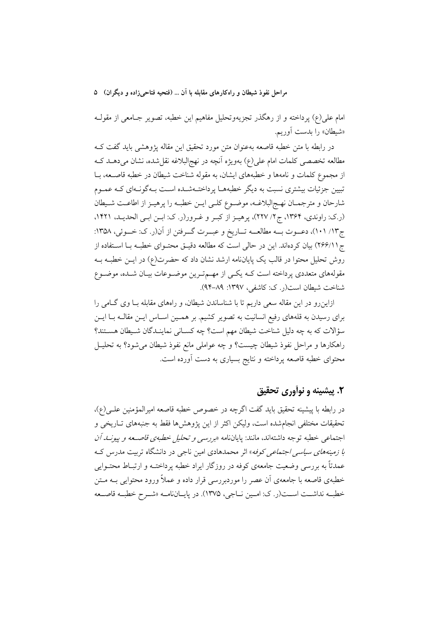امام علی(ع) پرداخته و از رهگذر تجزیهوتحلیل مفاهیم این خطبه، تصویر جـامعی از مقولــه «شيطان» را بدست أوريم.

در رابطه با متن خطبه قاصعه بهعنوان متن مورد تحقیق این مقاله پژوهشی باید گفت کـه مطالعه تخصصی کلمات امام علی(ع) بهویژه آنچه در نهج|لبلاغه نقل شده، نشان میدهــد کــه از مجموع کلمات و نامهها و خطبههای ایشان، به مقوله شناخت شیطان در خطبه قاصـعه، بـا تبیین جزئیات بیشتری نسبت به دیگر خطبههـا پرداختـهشـده اسـت بـهگونـهای کـه عمـوم شارحان و مترجمـان نهـج|لبلاغــه، موضــوع كلــي ايــن خطبــه را پرهيــز از اطاعــت شــيطان (ر.ک: راوندی، ۱۳۶۴، ج ۲/ ۲۲۷)، پرهیـز از کبـر و غـرور(ر. ک: ابـن ابـی الحدیـد، ۱۴۲۱، ج١٣/ ١٠١)، دعـوت بــه مطالعــه تــاريخ و عبــرت گــرفتن از آن(ر. ک: خــوئي، ١٣٥٨: ج ٢۶۶/١١) بيان كردهاند. اين در حالي است كه مطالعه دقيـق محتـواي خطبـه بـا اسـتفاده از روش تحلیل محتوا در قالب یک پایاننامه ارشد نشان داد که حضرت(ع) در ایــن خطبــه بــه مقولههای متعددی پرداخته است کـه یکـی از مهـمتـرین موضـوعات بیـان شـده، موضـوع شناخت شيطان است(ر. ک: کاشفي، ١٣٩٧: ٨٩–٩۴).

ازاینرو در این مقاله سعی داریم تا با شناساندن شیطان، و راههای مقابله بـا وی گـامی را برای رسیدن به قلههای رفیع انسانیت به تصویر کشیم. بر همـین اسـاس ایـن مقالـه بـا ایـن سؤالات كه به چه دليل شناخت شيطان مهم است؟ چه كسـانى نماينـدگان شـيطان هسـتند؟ راهکارها و مراحل نفوذ شیطان چیست؟ و چه عواملی مانع نفوذ شیطان می شود؟ به تحلیـل محتوای خطبه قاصعه پرداخته و نتایج بسیاری به دست آورده است.

## ۲. پیشینه و نوآوری تحقیق

در رابطه با پیشینه تحقیق باید گفت اگرچه در خصوص خطبه قاصعه امیرالمؤمنین علـی(ع)، تحقیقات مختلفی انجامشده است، ولیکن اکثر از این پژوهش۵ا فقط به جنبههای تـاریخی و اجتماعی خطبه توجه داشتهاند، مانند: پایاننامه «برر*سی و تحلیل خطبهی قاصــعه و پیونــد آن با زمینههای سیاسی اجتماعی کوفه*» اثر محمدهادی امین ناجی در دانشگاه تربیت مدرس ک عمدتاً به بررسی وضعیت جامعهی کوفه در روزگار ایراد خطبه پرداختـه و ارتبـاط محتـوایی خطبهی قاصعه با جامعهی آن عصر را موردبررسی قرار داده و عملاً ورود محتوایی بــه مــتن خطبه نداشت است(ر. ک: امين ناجي، ١٣٧۵). در پاياننامـه «شـرح خطبـه قاصـعه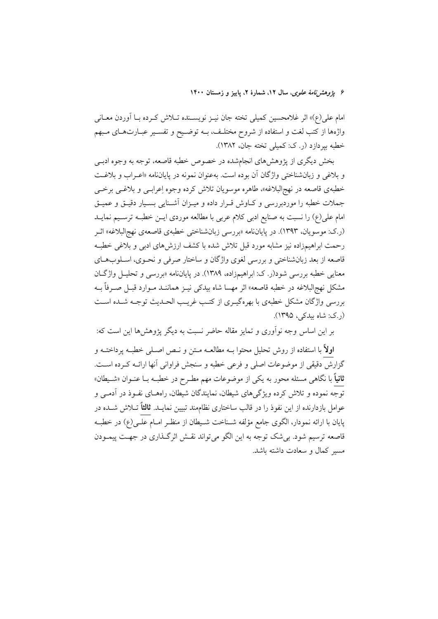۶ يژ*وهش نامهٔ علوی*، سال ۱۲، شمارهٔ ۲، پاییز و زمستان ۱۴۰۰

امام علي(ع)» اثر غلامحسين كميلي تخته جان نيـز نويســنده تــلاش كــرده بــا أوردن معــانـي واژهها از کتب لغت و استفاده از شروح مختلـف، بـه توضـيح و تفسـير عبـارتهـاي مـبهم خطبه بيردازد (ر. ک: کميلي تخته جان، ١٣٨٢).

بخش دیگری از پژوهش های انجامشده در خصوص خطبه قاصعه، توجه به وجوه ادبـی و بلاغی و زبان شناختی واژگان آن بوده است. به عنوان نمونه در پایاننامه «اعـراب و بلاغـت خطبهي قاصعه در نهج|لبلاغه»، طاهره موسويان تلاش كرده وجوه إعرابـي و بلاغــي برخــي جملات خطبه را موردبررسی و کـاوش قـرار داده و میـزان آشـنایی بسـیار دقیـق و عمیـق امام علی(ع) را نسبت به صنایع ادبی کلام عربی با مطالعه موردی ایـن خطبـه ترسـیم نمایــد (ر.ک: موسویان، ۱۳۹۳). در پایاننامه «بررسی زبانشناختی خطبهی قاصعهی نهجالبلاغه» اثـر رحمت ابراهیمزاده نیز مشابه مورد قبل تلاش شده با کشف ارزش های ادبی و بلاغی خطب قاصعه از بعد زبانشناختی و بررسی لغوی واژگان و ساختار صرفی و نحـوی، اسـلوبهـای معنایی خطبه بررسی شود(ر. ک: ابراهیمزاده، ۱۳۸۹). در پایاننامه «بررسی و تحلیـل واژگـان مشکل نهجالبلاغه در خطبه قاصعه» اثر مهسا شاه بیدک<sub>ی</sub> نیـز هماننــد مــوارد قبــل صــرفاً بــه بررسي واژگان مشكل خطبهي با بهرهگيـري از كتـب غريـب الحـديث توجـه شـده اسـت (ر.ک: شاه بیدکی، ۱۳۹۵).

بر اين اساس وجه نوآوري و تمايز مقاله حاضر نسبت به ديگر پژوهش ها اين است كه:

**اولاً** با استفاده از روش تحلیل محتوا بــه مطالعــه مــتن و نــص اصــلی خطبــه پرداختــه و گزارش دقیقی از موضوعات اصلی و فرعی خطبه و سنجش فراوانی آنها ارائـه کـرده اسـت. **ثانیاً** با نگاهی مسئله محور به یکی از موضوعات مهم مطـرح در خطبـه بــا عنــوان «شــیطان» توجه نموده و تلاش کرده ویژگیهای شیطان، نمایندگان شیطان، راههـای نفـوذ در آدمـی و عوامل بازدارنده از این نفوذ را در قالب ساختاری نظامِمند تبیین نمایــد. **ثالثاً** تــلاش شــده در يايان با ارائه نمودار، الگوى جامع مؤلفه شـناخت شـيطان از منظـر امــام علــي(ع) در خطبــه قاصعه ترسیم شود. بی شک توجه به این الگو می تواند نقش اثرگذاری در جهت پیمودن مسبر كمال و سعادت داشته باشد.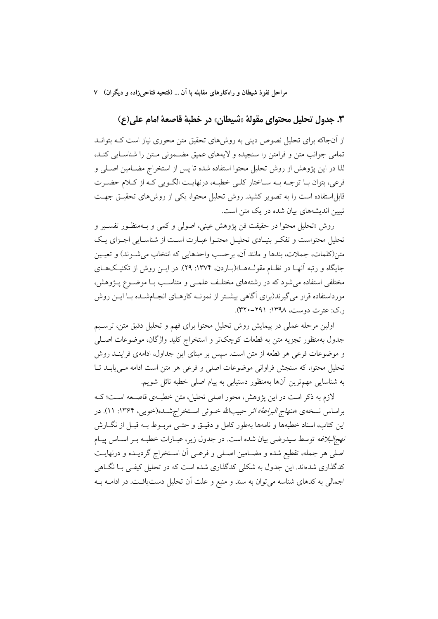## ٣. جدول تحليل محتواي مقولة «شيطان» در خطبة قاصعة امام على(ع)

از اّنجاکه برای تحلیل نصوص دینی به روشهای تحقیق متن محوری نیاز است کــه بتوانــد تمامی جوانب متن و فرامتن را سنجیده و لایههای عمیق مضمونی متن را شناسایی کنـد، لذا در این پژوهش از روش تحلیل محتوا استفاده شده تا پس از استخراج مضـامین اصـلی و فرعي، بتوان بـا توجـه بـه سـاختار كلـي خطبـه، درنهايـت الگـويي كـه از كـلام حضـرت قابل|ستفاده است را به تصویر کشید. روش تحلیل محتوا، یکی از روشهای تحقیـق جهـت تبیین اندیشههای بیان شده در یک متن است.

روش «تحلیل محتوا در حقیقت فن پژوهش عینی، اصولی و کمی و بـهمنظـور تفسـیر و تحلیل محتواست و تفکـر بنیـادی تحلیـل محتـوا عبـارت اسـت از شناسـایی اجـزای یـک متن(كلمات، جملات، بندها و مانند آن، برحسب واحدهايي كه انتخاب مي شــوند) و تعيــين جایگاه و رتبه آنهـا در نظـام مقولـههـا»(بـاردن، ۱۳۷۴: ۲۹). در ایــن روش از تکنیـکهـای مختلفی استفاده می شود که در رشتههای مختلف علمـی و متناسـب بـا موضـوع پــژوهش، مورداستفاده قرار میگیرند(برای آگاهی بیشـتر از نمونــه کارهــای انجــامشــده بــا ایــن روش . ک: عترت دوست، ۱۳۹۸: ۲۹۱-*۳۲۰*).

اولین مرحله عملی در پیمایش روش تحلیل محتوا برای فهم و تحلیل دقیق متن، ترسـیم جدول بهمنظور تجزيه متن به قطعات كوچكتر و استخراج كليد واژگان، موضوعات اصـلمي و موضوعات فرعی هر قطعه از متن است. سپس بر مبنای این جداول، ادامهی فراینـد روش تحليل محتوا، كه سنجش فراواني موضوعات اصلي و فرعي هر متن است ادامه مـي يابــد تــا به شناسایی مهمترین آنها بهمنظور دستیابی به پیام اصلی خطبه نائل شویم.

لازم به ذکر است در این یژوهش، محور اصلی تحلیل، متن خطبهی قاصـعه اسـت؛ کـه براساس نسخهي *«منهاج البراعة» اثر* حبيبالله خــوئي اسـتخراجشــده(خويبي، ۱۳۶۴: ۱۱). در این کتاب، اسناد خطبهها و نامهها بهطور کامل و دقیــق و حتــی مربــوط بــه قبــل از نگـــارش *نهج|لبلاغه* توسط سیدرضی بیان شده است. در جدول زیر، عبـارات خطبـه بــر اســاس پیــام اصلي هر جمله، تقطيع شده و مضـامين اصـلي و فرعـي أن اسـتخراج گرديـده و درنهايـت کدگذاری شدهاند. این جدول به شکلی کدگذاری شده است که در تحلیل کیفی بـا نگــاهی اجمالي به كدهاي شناسه مي توان به سند و منبع و علت أن تحليل دست يافت. در ادامــه بــه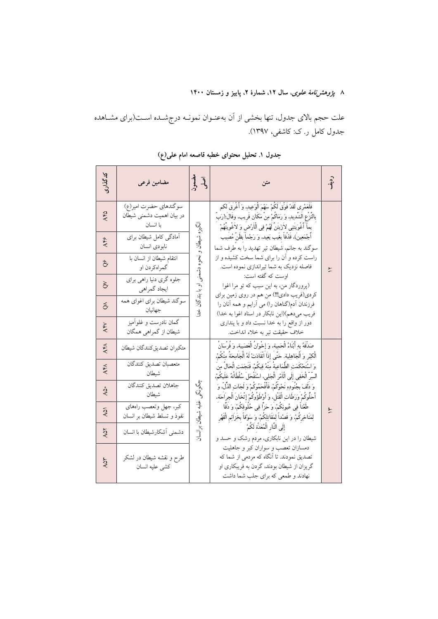۸ *پژوهشنِنامهٔ علوی،* سال ۱۲، شمارهٔ ۲، پاییز و زمستان ۱۴۰۰

علت حجم بالای جدول، تنها بخشی از آن بهعنـوان نمونــه درجشــده اســت(برای مشــاهده جدول کامل ر.ک: کاشفی، ۱۳۹۷).

| كدگذارى         | مضامین فرعی                                                    | آسي<br>آسيلسٽو                       | متن                                                                                                                                                                                                                                                                                                                                                                                                                                                                                                                                                                                                                                                                                                                        | ردنې.<br>آ |                                                                              |
|-----------------|----------------------------------------------------------------|--------------------------------------|----------------------------------------------------------------------------------------------------------------------------------------------------------------------------------------------------------------------------------------------------------------------------------------------------------------------------------------------------------------------------------------------------------------------------------------------------------------------------------------------------------------------------------------------------------------------------------------------------------------------------------------------------------------------------------------------------------------------------|------------|------------------------------------------------------------------------------|
| A۴۵             | سوگندهاي حضرت امير(ع)<br>در بیان اهمیت دشمنی شیطان<br>با انسان |                                      | فَلَعَمْرِى لَقَدْ فَوَّقَ لَكُمْ سَهْمَ الْوَعِيدِ، وَ أُغْرِقَ لَكُم<br>بالنَّزْعِ الشَّدِيدِ، وَ رَمَاكُمْ مِنْ مَكَان قَريب، وقَالَ:(رَبّ<br>آبتكين<br>بماَّ أَغْوَيتَنِي لاَزَينَنَّ لَهُمْ فِي الْمَارْضِ وَ لاَغْوِينَهُمْ<br>أَجْمَعِينَ)، قَذْفاً بغَيب بَعِيد. وَ رَجْماً بظَنَّ مُصِيب<br>شيطان و نحوه دشمني<br>سوگند به جانم، شیطان تیر تهدید را به طرف شما<br>راست کرده و آن را برای شما سخت کشیده و از<br>فاصله نزدیک به شما تیراندازی نموده است.<br>اوست که گفته است:<br>(پروردگار من، به این سبب که تو مرا اغوا<br>$\overline{\phantom{a}}$<br>ر_<br>كردي(فريب دادي!!!) من هم در روي زمين براي<br>بندگان<br>فرزندان آدم(گناهان را) می آرایم و همه آنان را<br>فريب مي دهم)(اين نابكار در اسناد اغوا به خدا) |            |                                                                              |
| A۴۶             | آمادگی کامل شیطان برای<br>نابودي انسان                         | $\vec{\gamma}$                       |                                                                                                                                                                                                                                                                                                                                                                                                                                                                                                                                                                                                                                                                                                                            |            |                                                                              |
| $\hat{O}$       | انتقام شيطان از انسان با<br>گمراهكردن او                       |                                      |                                                                                                                                                                                                                                                                                                                                                                                                                                                                                                                                                                                                                                                                                                                            |            |                                                                              |
| $\gtrsim$       | جلوه گري دنيا راهي براي<br>ايجاد گمراهي                        |                                      |                                                                                                                                                                                                                                                                                                                                                                                                                                                                                                                                                                                                                                                                                                                            |            |                                                                              |
| $\breve{\circ}$ | سوگند شیطان برای اغوای همه<br>جهانيان                          |                                      |                                                                                                                                                                                                                                                                                                                                                                                                                                                                                                                                                                                                                                                                                                                            |            |                                                                              |
| AYY             | گمان نادرست و غلوآمیز<br>شیطان از گمراهی همگان                 |                                      |                                                                                                                                                                                                                                                                                                                                                                                                                                                                                                                                                                                                                                                                                                                            |            | دور از واقع را به خدا نسبت داد و با پنداری<br>خلاف حقيقت تير به خلاء انداخت. |
| AFA             | متكبران تصديق كنندگان شيطان                                    |                                      | صَدِّقَهُ بِهِ أَبْنَاءُ الْحَمِيةِ، وَ إِخْوَانُ الْعَصَبِيةِ، وَ فُرْسَانُ<br>الْكِبْرِ وَ الْجَاهِلِية. حَتَّى إذَا انْقَادَتْ لَهُ الْجَامِحَةُ مِنْكُمْ،<br>وَ اسْتَحْكَمَتِ الطَّمَاعِيةُ مِنْهُ فِيكُمْ، فَنَجَمَتِ الْحَالُ مِنَ<br>السِّرِّ الْخَفِي إِلَى الْلَمْرِ الْجَلِي، اسْتَفْحَلَ سُلْطَانُهُ عَلَيكُمْ،                                                                                                                                                                                                                                                                                                                                                                                                 |            |                                                                              |
| A۴X             | متعصبان تصديق كنندگان<br>شيطان                                 |                                      |                                                                                                                                                                                                                                                                                                                                                                                                                                                                                                                                                                                                                                                                                                                            |            |                                                                              |
| $\dot{S}$       | جاهلان تصديق كنندكان<br>شيطان                                  | vz.<br>iz<br>S<br>غلبه شيطان برانسان | وَ دَلَفَ بِجُنُودِهِ نَحْوَكُمْ، فَأَقْحَمُوكُمْ وَ لَجَاتِ الذُّلِّ، وَ<br>أَحَلُّوكُمْ وَرَطَاتِ الْقُتْلِ. وَ أَوْطَؤُوكُمْ إِثْخَانَ الْجِرَاحَةِ.                                                                                                                                                                                                                                                                                                                                                                                                                                                                                                                                                                    |            |                                                                              |
| $\tilde{A}$     | كبر، جهل وتعصب راههاي<br>نفوذ و تسلط شیطان بر انسان            |                                      | طْعْنا فِي عُيونِكُمْ، وَ حَزّا فِي حُلُوقِكُمْ، وَ دَقًّا<br>لِمَنَاخِرِكُمْ، وَ قَصْداً لِمَقَاتِلِكُمْ، وَ سَوْقاً بخَزَائِمِ الْقَهْرِ                                                                                                                                                                                                                                                                                                                                                                                                                                                                                                                                                                                 |            |                                                                              |
| AQY             | دشمنی آشکارشیطان با انسان                                      |                                      | إِلَى النَّار الْمُعَدَّة لَكُمْ<br>شیطان را در این نابکاری، مردم رشک و حسد و                                                                                                                                                                                                                                                                                                                                                                                                                                                                                                                                                                                                                                              |            |                                                                              |
| har             | طرح و نقشه شیطان در لشکر<br>كشى عليه انسان                     |                                      | دمسازان تعصب و سواران کبر و جاهلیت<br>تصدیق نمودند. تا آنگاه که مردمی از شما که<br>گریزان از شیطان بودند، گردن به فریبکاری او<br>نهادند و طمعی که برای جلب شما داشت                                                                                                                                                                                                                                                                                                                                                                                                                                                                                                                                                        |            |                                                                              |

جدول ۱. تحلیل محتوای خطبه قاصعه امام علی(ع)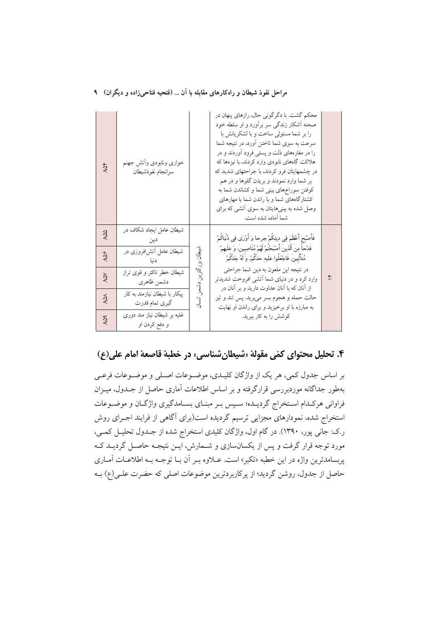|  |  | مراحل نفوذ شیطان و راهکارهای مقابله با آن … (فتحیه فتاحیزاده و دیگران) ۱ |  |  |  |  |  |  |  |
|--|--|--------------------------------------------------------------------------|--|--|--|--|--|--|--|
|--|--|--------------------------------------------------------------------------|--|--|--|--|--|--|--|

| ÄQF                  | خوارى ونابودى وأتش جهنم<br>سرانجام نفوذشيطان    |                     | محکم گشت. با دگرگونی حال، رازهای پنهان در<br>صحنه أشكار زندگى سر برأورد و او سلطه خود<br>را بر شما مستولى ساخت و با لشكريانش با<br>سرعت به سوی شما تاختن أورد، در نتیجه شما<br>را در مغارههای ذلت و پستی فرود آوردند و در<br>هلاکت گاههای نابودی وارد کردند، با نیزهها که<br>در چشمهایتان فرو کردند، با جراحتهای شدید که<br>بر شما وارد نمودند و بریدن گلوها و در هم<br>کوفتن سوراخهای بینی شما و کشاندن شما به<br>کشتارگاههای شما و با راندن شما با مهارهای<br>وصل شده به بینیهایتان به سوی اتشی که برای<br>شما آماده شده است. |  |
|----------------------|-------------------------------------------------|---------------------|---------------------------------------------------------------------------------------------------------------------------------------------------------------------------------------------------------------------------------------------------------------------------------------------------------------------------------------------------------------------------------------------------------------------------------------------------------------------------------------------------------------------------------|--|
| AQQ                  | شیطان عامل ایجاد شکاف در                        |                     | فَأَصْبَحَ أَعْظَمَ فِي دِينِكُمْ جرحا وَ أَوْرَى فِي دُنْياكُمْ                                                                                                                                                                                                                                                                                                                                                                                                                                                                |  |
| AQS                  | شیطان عامل آتش فروزی در<br>دنيا                 | شيطان               | قَدْحاً مِنَ الَّذِينَ أَصْبَحْتُمْ لَهُمْ مُنَاصِبِينَ، وَ عَلَيهِمْ<br>مُتَأَلِّبِينَ. فَاجْعَلُوا عَلَيهِ حَدَّكُمْ، وَ لَهُ جَدَّكُمْ                                                                                                                                                                                                                                                                                                                                                                                       |  |
| <b>AQY</b>           | شیطان خطر ناکتر و قوی تراز<br>دشمن ظاهري        | بزرگترين دشمن انسان | در نتيجه اين ملعون به دين شما جراحتي<br>وارد کرد و در دنیای شما اَتشی افروخت شدیدتر                                                                                                                                                                                                                                                                                                                                                                                                                                             |  |
| $\overline{A}\Omega$ | ییکار با شیطان نیازمند به کار<br>گیری تمام قدرت |                     | از أنان كه با أنان عداوت داريد و بر أنان در<br>حالت حمله و هجوم بسر میبرید. پس تند و تیز<br>به مبارزه با او برخیزید و برای راندن او نهایت                                                                                                                                                                                                                                                                                                                                                                                       |  |
| <b>AQA</b>           | غلبه بر شیطان نیاز مند دوری<br>و دفع کردن او    |                     | کوشش را به کار ببرید.                                                                                                                                                                                                                                                                                                                                                                                                                                                                                                           |  |

## ۴. تحليل محتواي كمّي مقولة «شيطان شناسي» در خطبة قاصعة امام على(ع)

بر اساس جدول کمی، هر یک از واژگان کلیـدی، موضـوعات اصـلی و موضـوعات فرعـی بهطور جداگانه موردبررسی قرارگرفته و بر اساس اطلاعات آماری حاصل از جـدول، میـزان فراوانی هرکـدام اسـتخراج گردیـده؛ سـپس بـر مبنـای بسـامدگیری واژگـان و موضـوعات استخراج شده، نمودارهای مجزایی ترسیم گردیده است(برای آگاهی از فرایند اجـرای روش ر.ک: جانی پور، ۱۳۹۰). در گام اول، واژگان کلیدی استخراج شده از جـدول تحلیــل کمــی، مورد توجه قرار گرفت و پس از یکسانسازی و شـمارش، ایــن نتیجـه حاصــل گردیــد کــه پربسامدترین واژه در این خطبه «تکبر» است. عـلاوه بـر آن بـا توجـه بـه اطلاعـات آمـاری حاصل از جدول، روشن گردید؛ از پرکاربردترین موضوعات اصلی که حضرت علـی(ع) بـه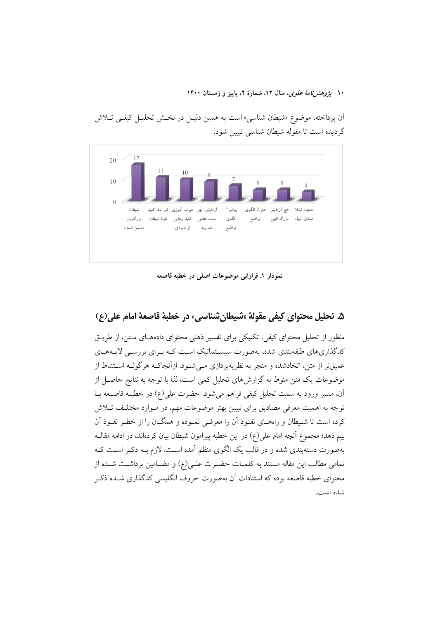۱۰ ي*ژوهشرنامهٔ علوی*، سال ۱۲، شمارهٔ ۲، پاييز و زمستان ۱۴۰۰

آن پرداخته، موضوع «شیطان شناسی» است به همین دلیـل در بخـش تحلیـل کیفـی تــلاش گر دیده است تا مقوله شیطان شناسی تبیین شود.



نمودار ١. فراواني موضوعات اصلي در خطبه قاصعه

## ۵. تحليل محتواي كيفي مقولة «شيطان شناسي» در خطبة قاصعة امام على(ع)

منظور از تحلیل محتوای کیفی، تکنیکی برای تفسیر ذهنی محتوای دادههـای مـتن، از طریـق کدگذاریهای طبقهبندی شده، بهصورت سیسـتماتیک اسـت کـه بـرای بررسـی لایـههـای عمیقتر از متن، اتخاذشده و منجر به نظریهپردازی مـی شـود. ازآنجاکـه هرگونـه اسـتنباط از موضوعات یک متن منوط به گزارشهای تحلیل کمی است، لذا با توجه به نتایج حاصـل از آن، مسیر ورود به سمت تحلیل کیفی فراهم می شود. حضرت علی(ع) در خطبه قاصــعه بــا توجه به اهمیت معرفی مصادیق برای تبیین بهتر موضوعات مهم، در مـوارد مختلـف تـلاش کرده است تا شـیطان و راههـای نفـوذ آن را معرفـی نمـوده و همگــان را از خطـر نفـوذ آن بیم دهد؛ مجموع آنچه امام علی(ع) در این خطبه پیرامون شیطان بیان کردهاند، در ادامه مقالـه بهصورت دستهبندی شده و در قالب یک الگوی منظم آمده است. لازم بـه ذکـر اسـت کـه تمامی مطالب این مقاله مستند به کلمـات حضـرت علـی(ع) و مضــامین برداشــت شــده از محتوای خطبه قاصعه بوده که استنادات آن بهصورت حروف انگلیسی کدگذاری شــده ذکـر شده است.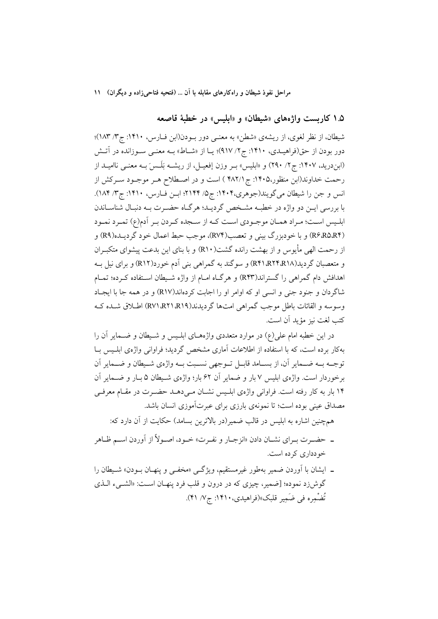### ۱.۵ کاربست واژههای «شیطان» و «ابلیس» در خطبهٔ قاصعه

شیطان، از نظر لغوی، از ریشهی «شطن» به معنـی دور بـودن(ابن فـارس، ۱۴۱۰: ج۳/ ۱۸۳)؛ دور بودن از حق(فراهیـدی، ۱۴۱۰: ج۲/ ۹۱۷)؛ یـا از «شـاط» بــه معنــی ســوزانده در آتــش (ابن درید، ۱۴۰۷: ج۲/ ۲۹۰) و «ابلیس» بـر وزن إفعیـل، از ریشــه بَلَـسَ بــه معنــی ناامیــد از رحمت خداوند(ابن منظور،۱۴۰۵: ج ۴۸۲/۱ ) است و در اصـطلاح هـر موجـود سـركش از انس و جن را شیطان میگویند(جوهری،۱۴۰۴: ج۵/ ۲۱۴۴؛ ابن فـارس، ۱۴۱۰: ج۳/ ۱۸۴). با بررسی ایــن دو واژه در خطبــه مشــخص گردیــد؛ هرگــاه حضــرت بــه دنبـال شناســاندن ابليس است؛ مراد همـان موجـودي اسـت كـه از سـجده كـردن بـر أدم(ع) تمـرد نمـود (R۶،R۵،R۴) و با خودبزرگ بینی و تعصب(R۷۴)، موجب حبط اعمال خود گردیـده(R۹) و از رحمت الهي مأيوس و از بهشت رانده گشت(R۱۰) و با بناي اين بدعت پيشواي متكبـران و متعصبان گردید(R۴۱،R۲۴،R۱۸) و سوگند به گمراهی بنی اَدم خورد(R۱۲) و برای نیل بـه اهدافش دام گمراهی را گستراند(R۴۳) و هرگIه امـام از واژه شـيطان اسـتفاده كـرده؛ تمـام شاگردان و جنود جنی و انسی او که اوامر او را اجابت کردهاند(R۱۷) و در همه جا با ایجـاد وسوسه و القائات باطل موجب گيمراهي امت ها گرديدند(RY)،RY)،RY) اطبلاق شيده كيه كتب لغت نيز مؤيد أن است.

در این خطبه امام علی(ع) در موارد متعددی واژههـای ابلـیس و شـیطان و ضــمایر آن را بهکار برده است، که با استفاده از اطلاعات آماری مشخص گردید؛ فراوانی واژهی ابلـیس بـا توجــه بــه ضــماير أن، از بســامد قابــل تــوجهي نســبت بــه واژهي شــيطان و ضـــماير أن برخوردار است. واژهی ابلیس ۷ بار و ضمایر آن ۶۲ بار؛ واژهی شـیطان ۵ بـار و ضـمایر آن ۱۴ بار به کار رفته است. فراوانی واژهی ابلـیس نشـان مـی۵هـد حضـرت در مقـام معرفـی مصداق عینی بوده است؛ تا نمونهی بارزی برای عبرتآموزی انسان باشد.

همچنین اشاره به ابلیس در قالب ضمیر(در بالاترین بسامد) حکایت از آن دارد که:

- ـ حضـرت بـراي نشــان دادن «انزجــار و نفــرت» خــود، اصــولاً از آوردن اســم ظــاهر خو دداري كرده است.
- ـ ايشان با اَوردن ضمير بهطور غيرمستقيم، ويژگ<sub>ى</sub> «مخفى و پنهـان بــودن» شــيطان را گوشزد نموده؛ [ضمیر، چیزی که در درون و قلب فرد پنهـان اسـت: «الشــيء الــذي تُضْمِره في ضَمِيرِ قلبِک»(فراهيدي، ١۴١٠: ج٧/ ۴١).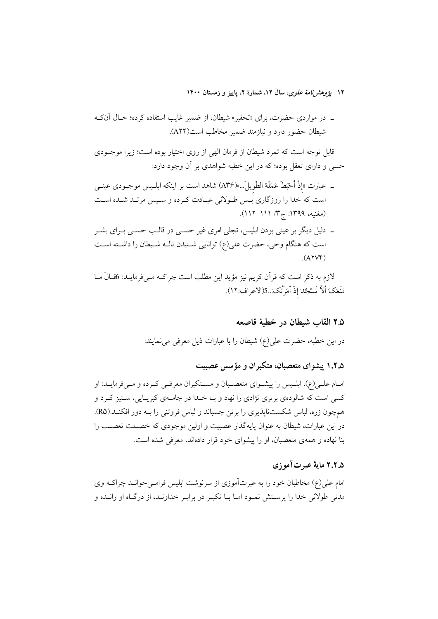۱۲ *یژوهشرنامهٔ علوی*، سال ۱۲، شمارهٔ ۲، پاییز و زمستان ۱۴۰۰

قابل توجه است که تمرد شیطان از فرمان الهی از روی اختیار بوده است؛ زیرا موجـودی حسی و دارای تعقل بوده؛ که در این خطبه شواهدی بر آن وجود دارد:

- ـ عبارت «إذْ أَحْبَطَ عَمَلَهُ الطَّويلَ...»(A۳۶) شاهد است بر اينكه ابلـيس موجــودي عينــي است که خدا را روزگاری بـس طـولانی عبـادت کـرده و سـپس مرتـد شـده اسـت (مغنيه، ١٣٩٩: ج٣/ ١١١–١١٢).
- ۔ دلیل دیگر بر عینی بودن ابلیس، تجلی امری غیر حســی در قالـب حســی بــرای بشــر است که هنگام وحی، حضرت علی(ع) توانایی شـنیدن نالـه شـیطان را داشـته اسـت  $(AYV)$

لازم به ذکر است که قرآن کریم نیز مؤید این مطلب است چراکـه مـیفرمایـد: 6قـالَ مـا مَنَعَكَ أَلاَّ تَسْجُدَ إذْ أَمَرْتُكَ...5(الاعراف:١٢).

## ۲.۵ القاب شبطان در خطبهٔ قاصعه

در این خطبه، حضرت علی(ع) شیطان را با عبارات ذیل معرفی می نمایند:

۱.۲.۵ پیشوای متعصبان، متکبران و مؤسس عصبیت

امـام علــي(ع)، ابلــيس را پيشــواي متعصــبان و مســتكبران معرفــي كــرده و مــيفرمايــد: او کسي است که شالودهي برتړي نژادي را نهاد و بــا خــدا در جامــهي کېږيــايې، ســتيز کــرد و همچون زره، لباس شکستناپذیری را برتن چسباند و لباس فروتنی را بــه دور افکنــد.(R۵). در این عبارات، شیطان به عنوان پایهگذار عصبیت و اولین موجودی که خصـلت تعصـب را بنا نهاده و همهی متعصبان، او را پیشوای خود قرار دادهاند، معرفی شده است.

### ۲.۲.۵ مایهٔ عبرتآموزی

امام علی(ع) مخاطبان خود را به عبرتآموزی از سرنوشت ابلیس فرامـیخوانــد چراکــه وی مدتی طولانی خدا را پرسـتش نمـود امـا بـا تکبـر در برابـر خداونـد، از درگـاه او رانـده و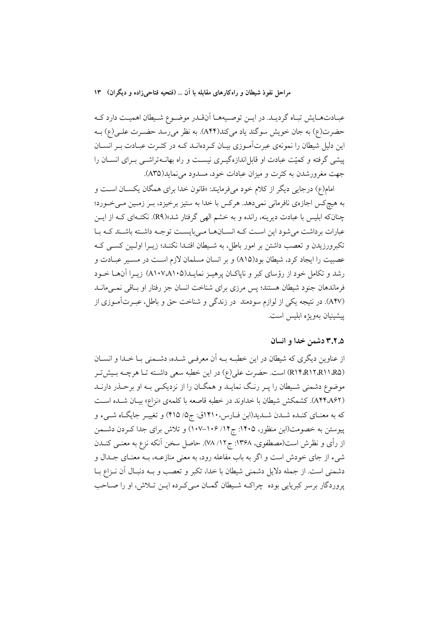عبـادتهـايش تبـاه گرديـد. در ايـن توصـيههـا آنقـدر موضـوع شـيطان اهميـت دارد كـه حضرت(ع) به جان خویش سوگند یاد میکند(A۴۴). به نظر می رسد حضـرت علـی(ع) بـه این دلیل شیطان را نمونهی عبرتآموزی بیـان کـردهانــد کــه در کثــرت عبــادت بــر انســان پیشی گرفته و کمیّت عبادت او قابل|ندازهگیــری نیســت و راه بهانــهتراشــی بــرای انســان را جهت مغرورشدن به کثرت و میزان عبادات خود، مسدود می نماید(A۳۵).

امام(ع) درجایی دیگر از کلام خود میفرمایند: «قانون خدا برای همگان یکسـان اسـت و به هیچکس اجازهی نافرمانی نمیدهد. هرکس با خدا به ستیز برخیزد، بـر زمـین مـیخـورد؛ چنانکه ابلیس با عبادت دیرینه، رانده و به خشم الهی گرفتار شد»(R۹). نکتـهای کـه از ایــن عبارات برداشت می شود این است کـه انسـانهـا مـی بایسـت توجـه داشـته باشـند کـه بـا تكبرورزيدن و تعصب داشتن بر امور باطل، به شـيطان اقتـدا نكنـد؛ زيـرا اولـين كسـي كـه عصبیت را ایجاد کرد، شیطان بود(A۱۵) و بر انسان مسلمان لازم است در مسـیر عبـادت و رشد و تکامل خود از رؤسای کبر و ناپاکـان پرهيـز نمايـد(۵۱۰۵/۵۱۰) زيـرا آنهـا خــود فرماندهان جنود شيطان هستند؛ پس مرزى براى شناخت انسان جز رفتار او بـاقى نمـىمانــد (A۴۷). در نتیجه یکی از لوازم سودمند در زندگی و شناخت حق و باطل، عبـرتآمـوزی از ييشينيان بهويؤه ابليس است.

### ۳.۲.۵ دشمن خدا و انسان

از عناوین دیگری که شیطان در این خطبه بـه آن معرفـی شـده، دشـمنی بـا خـدا و انســان (RIF،RIT،RII،R۵) است. حضرت على(ع) در اين خطبه سعى داشته تـا هرچــه بـيش تـر موضوع دشمنی شـیطان را پـر رنـگ نمایـد و همگـان را از نزدیکـی بـه او برحـذر دارنـد (A۴۴٬A۶۲). كشمكش شيطان با خداوند در خطبه قاصعه با كلمهى «نزاع» بيـان شـده اسـت که به معنـاي کنـده شـدن شـديد(ابن فـارس، ١٤١٠ق: جِ۵/ ٤١٥) و تغييـر جايگـاه شـيء و پیوستن به خصومت(ابن منظور، ۱۴۰۵: ج۱۴/ ۱۰۶–۱۰۷) و تلاش برای جدا کـردن دشــمن از رأى و نظرش است(مصطفوى، ١٣۶٨: ج١٢/ ٧٨). حاصل سخن آنكه نزع به معنــي كنــدن شیء از جای خودش است و اگر به باب مفاعله رود، به معنی منازعــه، بــه معنــای جــدال و دشمني است. از جمله دلایل دشمني شيطان با خدا، تکبر و تعصب و بـه دنبـال آن نــزاع بــا پروردگار برسر كبريايي بوده چراكـه شـيطان گمـان مـيكرده ايـن تـلاش، او را صـاحب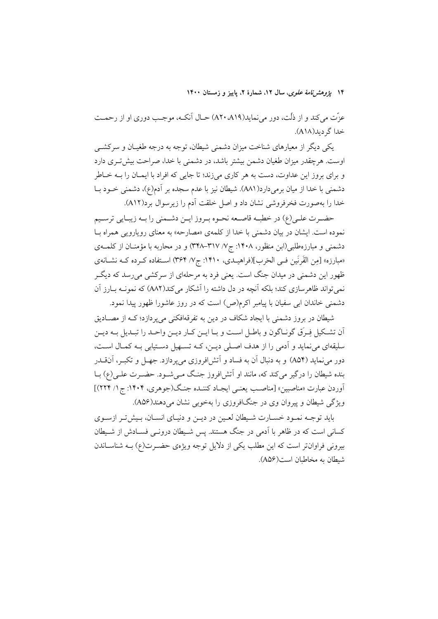۱۴ پژ*وهشرنامهٔ علوی*، سال ۱۲، شمارهٔ ۲، پاییز و زمستان ۱۴۰۰

عزّت مي كند و از ذُلّت، دور مي نمايد(A۲۰،A۱۹) حـال آنكــه، موجـب دوري او از رحمــت خدا گر دید(A۱۸).

یکی دیگر از معیارهای شناخت میزان دشمنی شیطان، توجه به درجه طغیـان و سرکشــی اوست. هرچقدر میزان طغیان دشمن بیشتر باشد، در دشمنی با خدا، صراحت بیش تـری دارد و برای بروز این عداوت، دست به هر کاری میزند؛ تا جایی که افراد با ایمـان را بــه خــاطر دشمنی با خدا از میان برمیدارد(AA۱). شیطان نیز با عدم سجده بر آدم(ع)، دشمنی خــود بــا خدا را بهصورت فخرفروشی نشان داد و اصل خلقت آدم را زیرسوال برد(A۱۲).

حضـرت علـي(ع) در خطبــه قاصــعه نحــوه بــروز ايــن دشــمني را بــه زيبــايي ترســيم نموده است. ایشان در بیان دشمنی با خدا از کلمهی «مصارحه» به معنای رویارویی همراه بـا دشمنی و مبارزهطلبی(ابن منظور، ۱۴۰۸: ج/۷/ ۳۱۷–۳۴۸) و در محاربه با مؤمنـان از کلمــهی «مبارزه» [مِن القَرنَين فـي الحَرب](فراهيــدي، ١۴١٠: ج// ٣۶۴) اســتفاده كــرده كــه نشــانهي ظهور این دشمنی در میدان جنگ است. یعنی فرد به مرحلهای از سرکشی میرسد که دیگـر نمي تواند ظاهرسازي كند؛ بلكه آنچه در دل داشته را آشكار مي كند(AA۲) كه نمونــه بــارز آن دشمنی خاندان ابی سفیان با پیامبر اکرم(ص) است که در روز عاشورا ظهور پیدا نمود.

شیطان در بروز دشمنی با ایجاد شکاف در دین به تفرقهافکنی می پردازد؛ کـه از مصــادیق أن تشكيل فِرق گونـاگون و باطـل اسـت و بـا ايـن كـار ديـن واحـد را تبـديل بـه ديـن سليقهاي مي نمايد و آدمي را از هدف اصـلي ديـن، کــه تســهيل دســتيابي بــه کمــال اســت، دور مي نمايد (A۵۴) و به دنبال آن به فساد و اَتش!فروزي مي پردازد. جهـل و تكبـر، آنEـدر بنده شیطان را درگیر میکند که، مانند او آتشافروز جنگ مـیشـود. حضـرت علـی(ع) بــا آوردن عبارت «مناصبین» [مناصـب یعنـی ایجـاد کننـده جنـگ(جوهری، ۱۴۰۴: ج ۱/ ۲۲۴)] ویژگی شیطان و پیروان وی در جنگافروزی را بهخوبی نشان میدهند(A۵۶).

باید توجـه نمـود خسـارت شـیطان لعـین در دیـن و دنیـای انسـان، بـیش تـر ازسـوی کسانی است که در ظاهر با آدمی در جنگ هستند. پس شـیطان درونـی فسـادش از شـیطان بیرونی فراوانتر است که این مطلب یکی از دلایل توجه ویژهی حضـرت(ع) بـه شناسـاندن شيطان به مخاطبان است(A۵۶).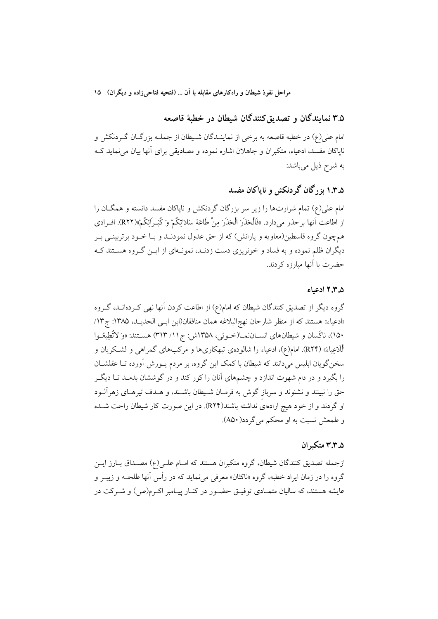۳.۵ نمایندگان و تصدیق کنندگان شیطان در خطبهٔ قاصعه

امام علي(ع) در خطبه قاصعه به برخي از نماينـدگان شـيطان از جملــه بزرگــان گــردنكش و نایاکان مفسد، ادعیاء، متکبران و جاهلان اشاره نموده و مصادیقی برای آنها بیان می نماید ک به شرح ذیل میباشد:

## ۱.۳.۵ بز گان گردنکش و ناپاکان مفسد

امام علی(ع) تمام شرارتها را زیر سر بزرگان گردنکش و ناپاکان مفسد دانسته و همگـان را از اطاعت آنها برحذر مي(دارد. «فَالْحَذَرَ الْحَذَرَ مِنْ طَاعَةْ سَادَاتِكُمْ وَ كُبَـرٍ اَئِكُمْ»(RYY). افـرادي همچون گروه قاسطین(معاویه و یارانش) که از حق عدول نمودنـد و بـا خــود برتربینــی بــر دیگران ظلم نموده و به فساد و خونریزی دست زدنـد، نمونـهای از ایـن گـروه هسـتند کـه حضرت با آنها مبارزه کردند.

#### ۰٫۳٫۵ ادعیاء

گروه دیگر از تصدیق کنندگان شیطان که امام(ع) از اطاعت کردن آنها نهی کـردهانــد، گــروه «ادعياء» هستند كه از منظر شارحان نهج البلاغه همان منافقان(ابن ابـي الحديـد، ١٣٨۵: ج١٣) ۱۵۰)، ناكَسان و شيطانهاي انســاننمــا(خــوئي، ۱۳۵۸ش: ج ۱۱/ ۳۱۳) هســتند: «وَ لاتَّطِيعُــوا الْاَدْعِياءَ» (R۲۴). امام(ع)، ادعياء را شالودهي تبهكاريها و مركبهاي گمراهي و لشـكريان و سخن گویان ابلیس میدانند که شیطان با کمک این گروه، بر مردم پــورش آورده تــا عقلشــان را بگیرد و در دام شهوت اندازد و چشمهای آنان را کور کند و در گوششان بدمـد تــا دیگــر حق را نبینند و نشنوند و سرباز گوش به فرمـان شـیطان باشـند، و هــدف تیرهـای زهراَلــود او گردند و از خود هیچ ارادهای نداشته باشند(R۲۴). در این صورت کار شیطان راحت شـده و طمعش نسبت به او محکم می گردد( A۵۰).

### ۰.۵.۳.۳ متک ان

ازجمله تصدیق کنندگان شیطان، گروه متکبران هستند که امـام علـی(ع) مصـداق بـارز ایـن گروه را در زمان ایراد خطبه، گروه «ناکثان» معرفی میiماید که در رأس آنها طلحـه و زبیــر و عایشه هستند، که سالیان متمـادی توفیــق حضــور در کنــار پیــامبر اکــرم(ص) و شــرکت در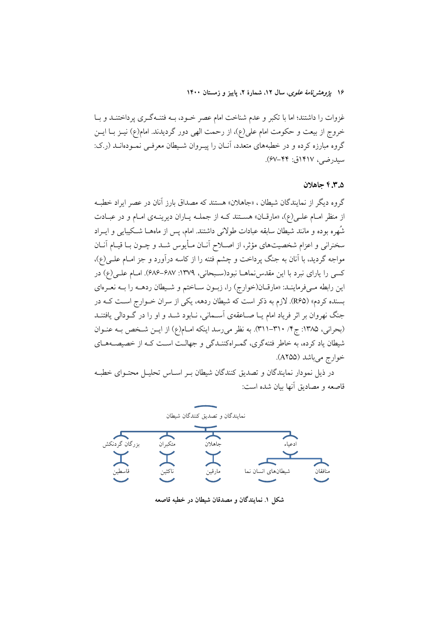۱۶ ي*ژوهشرنامهٔ علوی*، سال ۱۲، شمارهٔ ۲، پاییز و زمستان ۱۴۰۰

غزوات را داشتند؛ اما با تکبر و عدم شناخت امام عصر خـود، بــه فتنــهگـری پرداختنــد و بــا خروج از بیعت و حکومت امام علی(ع)، از رحمت الهی دور گردیدند. امام(ع) نیــز بــا ایــن گروه مبارزه کرده و در خطبههای متعدد، آنـان را پیـروان شـیطان معرفـی نمـودهانــد (ر.ک: سيدرضي، ١٤١٧ق: ٤٧-۶۷).

### ۳.۵-۴.۳ حاهلان

گروه دیگر از نمایندگان شیطان ، «جاهلان» هستند که مصداق بارز آنان در عصر ایراد خطبه از منظر امـام علـی(ع)، «مارقـان» هسـتند کـه از جملـه پـاران دیرینـهی امـام و در عبـادت شُهره بوده و مانند شیطان سابقه عبادات طولانی داشتند. امام، پس از ماههــا شــکیبایی و ایــراد سخنرانی و اعزام شخصیتهای مؤثر، از اصـلاح آنــان مــأیوس شــد و چــون بــا قیــام آنــان مواجه گردید، با آنان به جنگ پرداخت و چشم فتنه را از کاسه درآورد و جز امـام علــی(ع)، کسی را یارای نبرد با این مقدس نماهـا نبود(سـبحانی، ۱۳۷۹: ۶۸۷–۶۸۶). امـام علـی(ع) در این رابطه می فرماینـد: «مارقـان(خوارج) را، زبـون سـاختم و شـيطان ردهــه را بــه نعـرهاي بسنده کردم» (R۶۵). لازم به ذکر است که شیطان ردهه، یکی از سران خـوارج اسـت کـه در جنگ نهروان بر اثر فریاد امام یــا صــاعقهی آســمانی، نــابود شــد و او را در گــودالی یافتنــد (بحرانی، ۱۳۸۵: ج۴/ ۳۱۰-۳۱۱). به نظر می رسد اینکه امـام(ع) از ایـن شـخص بـه عنـوان شیطان یاد کرده، به خاطر فتنهگری، گمـراهکننــدگی و جهالــت اســت کــه از خصیصــههــای خوارج مي باشد (A۲۵۵).

در ذیل نمودار نمایندگان و تصدیق کنندگان شیطان بـر اسـاس تحلیـل محتـوای خطبـه قاصعه و مصاديق أنها بيان شده است:



شکل ۱. نمایندگان و مصدقان شیطان در خطبه قاصعه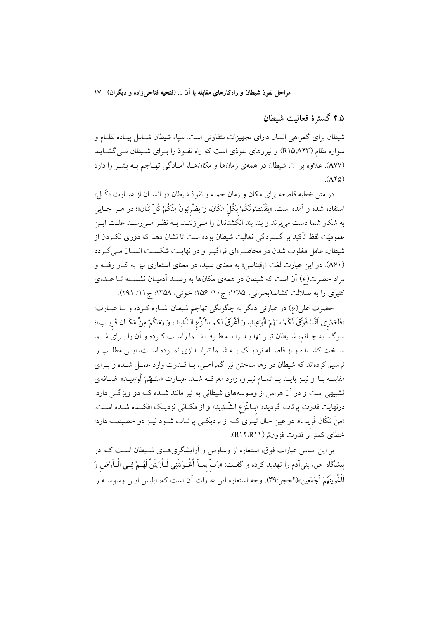### ۹.۵ گسترهٔ فعالیت شیطان

شیطان برای گمراهی انسان دارای تجهیزات متفاوتی است. سیاه شیطان شـامل پیـاده نظـام و سواره نظام (R۱۵٬A۴۳) و نیروهای نفوذی است که راه نفـوذ را بـرای شـیطان مـی&شـایند (AW). علاوه بر آن، شيطان در همهي زمانها و مكانهـا، آمـادگي تهـاجم بـه بشـر را دارد  $(AY\omega)$ 

در متن خطبه قاصعه برای مکان و زمان حمله و نفوذ شیطان در انســان از عبــارت «کُــل» استفاده شده و آمده است: «يقْتَنِصُونَكُمْ بكُلّ مَكَان، وَ يضْرِبُونَ مِنْكُمْ كُلّ بَنَان»؛ در هــر جــايي به شکار شما دست می برند و بند بند انگشتانتان را مـی زنسد. بـه نظـر مـی رسـد علـت ایـن عمومیّت لفظ تأکید بر گستردگی فعالیت شیطان بوده است تا نشان دهد که دوری نکـردن از شیطان، عامل مغلوب شدن در محاصـرهای فراگیـر و در نهایـت شکسـت انســان مــی گــردد (A۶۰). در این عبارت لغت «إقتناص» به معنای صید، در معنای استعاری نیز به کـار رفتـه و مراد حضرت(ع) آن است که شیطان در همهی مکانها به رصـد آدمیـان نشسـته تـا عـدهی کثیری را به ضلالت کشاند(بحرانی، ۱۳۸۵: ج١٠/ ۲۵۶؛ خوئی، ۱۳۵۸: ج۱۱/ ۲۹۱).

حضرت علی(ع) در عبارتی دیگر به چگونگی تهاجم شیطان اشـاره کـرده و بـا عبـارت: «فَلَعَمْرِى لَقَدْ فَوَقّ لَكُمْ سَهْمَ الْوَعِيدِ، وَ أَغْرَقَ لكم بالنّزْع الشّديدِ، وَ رَمَاكُمْ مِنْ مَكَـان قَريـب»؛ سوگند به جـانم، شـيطان تيـر تهديـد را بــه طـرف شــما راسـت كـرده و آن را بـراي شــما سـخت کشـیده و از فاصـله نزدیـک بــه شــما تیرانــدازی نمــوده اســت، ایــن مطلــب را ترسیم کردهاند که شیطان در رها ساختن تیر گمراهـی، بـا قــدرت وارد عمـل شــده و بـرای مقابلـه بــا او نيــز بايــد بــا تـمــام نيــرو، وارد معركــه شــد. عبــارت «سَـــهْمَ الْوَعِيــدِ» اضــافهي تشبیهی است و در آن هراس از وسوسههای شیطانی به تیر مانند شـده کـه دو ویژگـی دارد: درنهایت قدرت پرتاب گردیده «بــالنّزْع الشّــدِیدِ» و از مکــانی نزدیــک افکنــده شــده اســت: «مِنْ مَكَان قَريب». در عين حال تيـري كــه از نزديكــي پرتــاب شــود نيــز دو خصيصــه دارد: خطاي كمتر و قدرت فزونتر (R١٢،R١١).

بر این اساس عبارات فوق، استعاره از وساوس و آرایشگریهـای شـیطان اسـت کـه در پیشگاه حق، بنی اَدم را تهدید کرده و گفت: «رَبّ بِمــآ أَغْـوَيتَنِي لَــأَزَينَنّ لَهُــمْ فِــي الْــأرْض وَ لْمُغْوِينِّهُمْ أَجْمَعِينَ»(الحجر:٣٩). وجه استعاره ابن عبارات أن است كه، ابليس ابـن وسوسـه را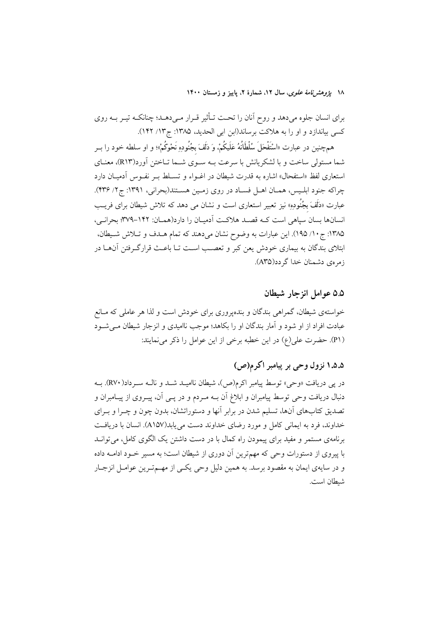۱۸ يژوهشرنامهٔ علوی، سال ۱۲، شمارهٔ ۲، پاييز و زمستان ۱۴۰۰

برای انسان جلوه میدهد و روح آنان را تحت تـأثیر قـرار مـیدهـد؛ چنانکـه تیـر بـه روی کسی بیاندازد و او را به هلاکت برساند(ابن ابی الحدید، ۱۳۸۵: ج۱۲/ ۱۴۲).

همچنین در عبارت «اسْتَفْحَلَ سُلْطَانُهُ عَلَیکُمْ. وَ دَلَفَ بجُنُودِهِ نَحْوکُمْ»؛ و او سلطه خود را بــر شما مستولی ساخت و با لشکریانش با سرعت بـه سـوی شـما تـاختن آورد(R۱۳)، معنـای استعاری لفظ «استفحال» اشاره به قدرت شیطان در اغــواء و تســلط بــر نفــوس آدمیــان دارد چراکه جنود ابلـیس، همـان اهـل فسـاد در روی زمـین هسـتند(بحرانی، ۱۳۹۱: ج۲/ ۴۳۶). عبارت «دَلَفَ بِجُنُوده» نيز تعبير استعاري است و نشان مي دهد كه تلاش شيطان براي فريــــــ انسانها بسان سیاهی است کـه قصـد هلاکـت آدمیـان را دارد(همـان: ١۴۲–٣٧٩؛ بحرانـی، ١٣٨۵: ج ١٠/ ١٩٥). اين عبارات به وضوح نشان مي دهند كه تمام هـدف و تـلاش شـيطان، ابتلای بندگان به بیماری خودش یعن کبر و تعصب است تـا باعـث قرارگـرفتن آنهــا در زمره ی دشمنان خدا گر دد(A۳۵).

### ۵.۵ عوامل انزحار شيطان

خواستهی شیطان، گمراهی بندگان و بندهپروری برای خودش است و لذا هر عاملی که مـانع عبادت افراد از او شود و آمار بندگان او را بکاهد؛ موجب ناامیدی و انزجار شیطان مے شـود (P۱). حضرت علي(ع) در اين خطبه برخي از اين عوامل را ذكر مي نمايند:

## ۱.۵.۵ نزول وحی بر پیامبر اکرم(ص)

در پی دریافت «وحی» توسط پیامبر اکرم(ص)، شیطان ناامیـد شـد و نالـه سـرداد(RV۰). بـه دنبال دریافت وحی توسط پیامبران و ابلاغ آن بــه مــردم و در پــی آن، پیــروی از پیــامبران و تصدیق کتابهای آنها، تسلیم شدن در برابر آنها و دستوراتشان، بدون چون و چـرا و بـرای خداوند، فرد به ایمانی کامل و مورد رضای خداوند دست می یابد(A۱۵۷). انسان با دریافت برنامهی مستمر و مفید برای پیمودن راه کمال با در دست داشتن یک الگوی کامل، می توانید با پیروی از دستورات وحی که مهمترین آن دوری از شیطان است؛ به مسیر خـود ادامــه داده و در سایهی ایمان به مقصود برسد. به همین دلیل وحی یکـی از مهــمتـرین عوامـل انزجـار شيطان است.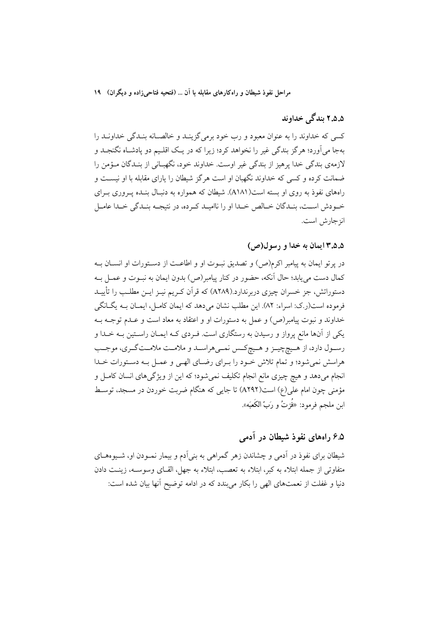### ۵.۵.۲ بندگی خداوند

کسی که خداوند را به عنوان معبود و رب خود برمی گزینـد و خالصـانه بنـدگی خداونـد را بهجا مي آورد؛ هرگز بندگي غير را نخواهد كرد؛ زيرا كه در يـك اقلـيم دو پادشـاه نگنجـد و لازمەي بندگى خدا پرهيز از بندگى غير اوست. خداوند خود، نگهبـانى از بنـدگان مـؤمن را ضمانت کرده و کسی که خداوند نگهبان او است هرگز شیطان را یارای مقابله با او نیسـت و راههای نفوذ به روی او بسته است(A۱۸۱). شیطان که همواره به دنبـال بنـده پـروری بـرای خـودش اسـت، بنـدگان خـالص خـدا او را نااميـد كـرده، در نتيجـه بنـدگي خـدا عامـل انز جارش است.

### ۰.۵.۵ ایمان به خدا و رسول(ص)

در پرتو ایمان به پیامبر اکرم(ص) و تصدیق نبـوت او و اطاعـت از دسـتورات او انســان بــه كمال دست مى يابد؛ حال أنكه، حضور در كنار پيامبر(ص) بدون ايمان به نبــوت و عمــل بــه دستوراتش، جز خسران چیزی دربرندارد.(A۲۸۹) که قرآن کـریم نیـز ایــن مطلــب را تأییــد فرموده است(ر.ک: اسراء: ۸۲). این مطلب نشان میدهد که ایمان کامـل، ایمـان بـه یگـانگی خداوند و نبوت پیامبر(ص) و عمل به دستورات او و اعتقاد به معاد است و عـدم توجــه بــه یکی از آنها مانع پرواز و رسیدن به رستگاری است. فـردی کـه ایمـان راسـتین بـه خـدا و رسـول دارد، از هـيچچيــز و هــيچكــس نمــيهراســد و ملامــت ملامــتگــري، موجــب هراسش نمی شود؛ و تمام تلاش خـود را بـرای رضـای الهـی و عمـل بـه دسـتورات خـدا انجام میدهد و هیچ چیزی مانع انجام تکلیف نمی شود؛ که این از ویژگیهای انسان کامـل و مؤمنی چون امام علی(ع) است(A۲۹۲) تا جایبی که هنگام ضربت خوردن در مسجد، توسط ابن ملجم فرمود: «فُزِتُ و رَبّ الكَعبَه».

### ۶.۵ راههای نفوذ شیطان در آدمی

شیطان برای نفوذ در اَدمی و چشاندن زهر گمراهی به بنی اَدم و بیمار نمـودن او، شـیوههــای متفاوتی از جمله ابتلاء به کبر، ابتلاء به تعصب، ابتلاء به جهل، القـای وسوســه، زینــت دادن دنیا و غفلت از نعمتهای الهی را بکار میبندد که در ادامه توضیح آنها بیان شده است: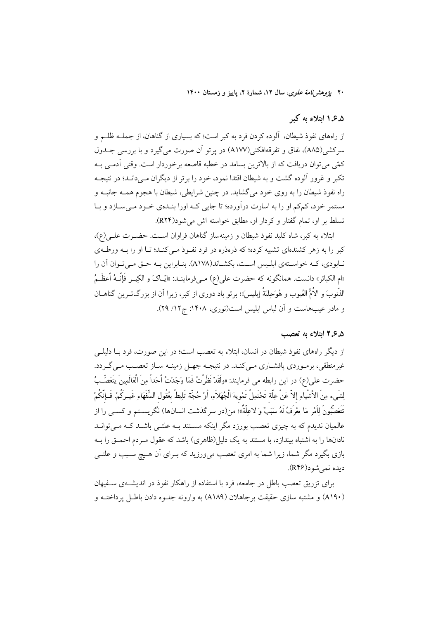۲۰ یژ*وهش نامهٔ علوی*، سال ۱۲، شمارهٔ ۲، پاییز و زمستان ۱۴۰۰

### ۰.۵ انتلاء به ک

از راههای نفوذ شیطان، آلوده کردن فرد به کبر است؛ که بسیاری از گناهان، از جملــه ظلــم و سرکشی(AA۵)، نفاق و تفرقهافکنی(A۱۷۷) در پر تو اَن صورت می گیرد و با بررسی جــدول كمّى مى توان دريافت كه از بالاترين بسامد در خطبه قاصعه برخوردار است. وقتى آدمـى بــه تکبر و غرور آلوده گشت و به شیطان اقتدا نمود، خود را برتر از دیگران مـی دانـد؛ در نتیجـه راه نفوذ شیطان را به روی خود می گشاید. در چنین شرایطی، شیطان با هجوم همـه جانبـه و مستمر خود، کمکم او را به اسارت درآورده؛ تا جایی کـه اورا بنـدهی خـود مـیسـازد و بـا تسلط بر او، تمام گفتار و کردار او، مطابق خواسته اش می شود(RY۴).

ابتلاء به كبر، شاه كليد نفوذ شيطان و زمينهساز گناهان فراوان است. حضـرت علـي(ع)، کبر را به زهر کشندهای تشبیه کرده؛ که ذرهذره در فرد نفـوذ مـیکنـد؛ تـا او را بــه ورطــهی نـابودي، كـه خواسـتهي ابلـيس اسـت، بكشـاند(A۱۷۸). بنـابراين بـه حـق مـى تـوان آن را «ام الكبائر» دانست. همانگونه كه حضرت على(ع) مـىفرماينــد: «ايّــاکَ و الکِبــر فَإِنّــهُ أعظَــمُ الذُّنوبَ و الأُمُّ العُيوب و هُوَحِلِيَةُ إبليس»؛ برتو باد دوري از كبر، زيرا آن از بزرگتــرين گناهــان و مادر عیبهاست و آن لباس ابلیس است(نوری، ۱۴۰۸: ج۱۲/ ۲۹).

### ۶.۵ اتلاء به تعصب

از دیگر راههای نفوذ شیطان در انسان، ابتلاء به تعصب است؛ در این صورت، فرد بــا دلیلــی غیرمنطقی، برمـوردی پافشـاری مـیکنـد. در نتیجـه جهـل زمینـه سـاز تعصـب مـیگـردد. حضرت على(ع) در اين رابطه مي فرمايند: «ولَقَدْ نَظَرْتُ فَمَا وَجَدْتُ أَحَداً مِنَ الْعَالَمِينَ يَتَعَصِّبُ لِشَىء مِنَ الأَشْياءِ إلاّ عَنْ عِلَّة تَحْتَمِلُ تَمْوِيهَ الْجُهَلاَءِ. أوْ حُجَّة تَلِيطُ بعُقُول السُّفَهَاءِ غَيـركُمْ. فَـإنَّكُمْ تَتَعَصَّبُونَ لِلَمْرِ مَا يعْرَفُ لَهُ سَبَبٌ وَ لاعِلَّةٌ»؛ من(در سرگذشت انسانها) نگریســتم و کســی را از عالمیان ندیدم که به چیزی تعصب بورزد مگر اینکه مســتند بــه علتــی باشــد کــه مــیتوانــد نادانها را به اشتباه بیندازد، با مستند به یک دلیل(ظاهری) باشد که عقول مـردم احمــق را بــه بازی بگیرد مگر شما، زیرا شما به امری تعصب می,ورزید که بـرای آن هـیچ سـبب و علتـی ديده نمي شو د(R۴۶).

برای تزریق تعصب باطل در جامعه، فرد با استفاده از راهکار نفوذ در اندیشـهی سـفیهان (A۱۹۰) و مشتبه سازی حقیقت برجاهلان (A۱۸۹) به وارونه جلـوه دادن باطـل پرداختـه و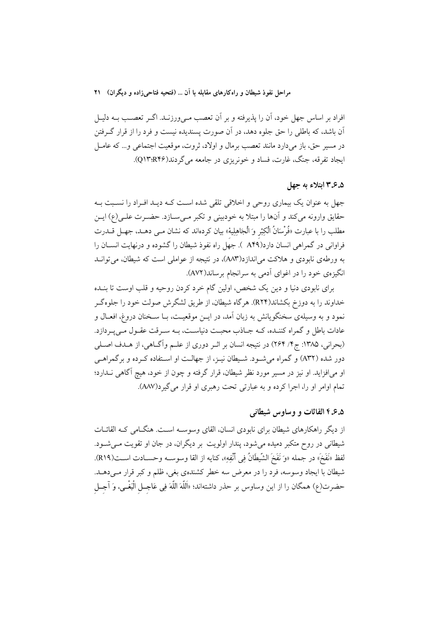افراد بر اساس جهل خود، آن را پذیرفته و بر آن تعصب مـیورزنــد. اگــر تعصـب بــه دليــل آن باشد، که باطلی را حق جلوه دهد، در آن صورت پسندیده نیست و فرد را از قرار گرفتن در مسیر حق، باز میدارد مانند تعصب برمال و اولاد، ثروت، موقعیت اجتماعی و… که عامــل ایجاد تفرقه، جنگ، غارت، فساد و خونریزی در جامعه می گردند(Q۱۳:R۴۶).

### ۰.۵.۳.۵ اىتلاء به جهل

جهل به عنوان یک بیماری روحی و اخلاقی تلقی شده است کـه دیـد افـراد را نسـبت بـه حقایق وارونه میکند و آنها را مبتلا به خودبینی و تکبر مـیسـازد. حضـرت علـی(ع) ایـن مطلب را با عبارت «فُرْسَانُ الْكِبْر وَ الْجَاهِلِيةْ» بيان كردهاند كه نشان مــي دهــد، جهــل قـــدرت فراوانی در گمراهی انسان دارد(A۴۹ ). جهل راه نفوذ شیطان را گشوده و درنهایت انســان را به ورطهی نابودی و هلاکت می اندازد(AA۳)، در نتیجه از عواملی است که شیطان، می توان انگیزهی خود را در اغوای آدمی به سرانجام برساند(AV۲).

برای نابودی دنیا و دین یک شخص، اولین گام خرد کردن روحیه و قلب اوست تا بنــده خداوند را به دوزخ بکشاند(R۲۴). هرگاه شیطان، از طریق لشگرش صولت خود را جلوهگـر نمود و به وسیلهی سخنگویانش به زبان آمد، در ایــن موقعیــت، بــا ســخنان دروغ، افعــال و عادات باطل و گمراه کننـده، کـه جـاذب محبـت دنياسـت، بـه سـرقت عقـول مـىپـردازد. (بحرانی، ۱۳۸۵: ج۴/ ۲۶۴) در نتیجه انسان بر اثـر دوری از علـم وآگـاهی، از هـدف اصـلی دور شده (A۳۲) و گمراه می شــود. شــیطان نیــز، از جهالــت او اســتفاده کــرده و برگمراهــی او میافزاید. او نیز در مسیر مورد نظر شیطان، قرار گرفته و چون از خود، هیچ آگاهی نــدارد؛ تمام اوامر او را، اجرا كرده و به عبارتي تحت رهبري او قرار مي گيرد(AAV).

### ۰.۵ بر۴ القائات و وساوس شيطاني

از دیگر راهکارهای شیطان برای نابودی انسان، القای وسوسـه اسـت. هنگـامی کـه القائـات شیطانی در روح متکبر دمیده می شود، پندار اولویت بر دیگران، در جان او تقویت مـی شـود. لفظ «نَفَخَ» در جمله «وَ نَفَخَ الشَّيطَانُ فِي أُنْفِهِ»، كنايه از القا وسوســه وحســادت اســت(R۱۹). شیطان با ایجاد وسوسه، فرد را در معرض سه خطر کشندهی بغی، ظلم و کبر قرار مـیدهــد. حضرت(ع) همگان را از اين وساوس بر حذر داشتهاند؛ «اَللَّهَ اللَّهَ فِي عَاجــل الْبَغْــي، وَ آجــل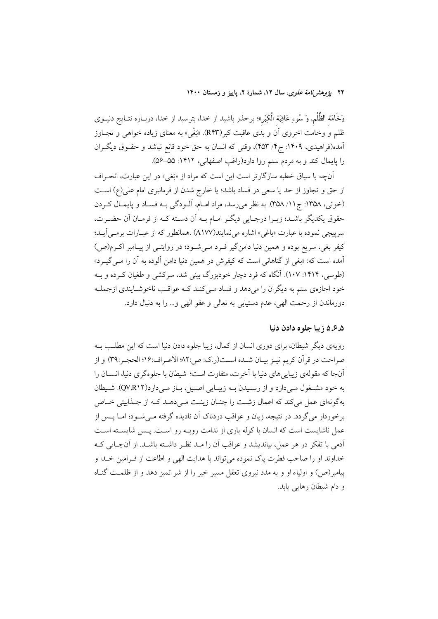۲۲ پژ*وهشرنامهٔ علوی*، سال ۱۲، شمارهٔ ۲، پاییز و زمستان ۱۴۰۰

وَخَامَة الظُّلْم. وَ سُوءِ عَاقِبَة الْكِبْر»؛ برحذر باشيد از خدا، بترسيد از خدا، دربـاره نتــايج دنيــوى ظلم و وخامت اخروي اّن و بدي عاقبت كبر(R۴۳). «بَغْيِ» به معناي زياده خواهي و تجــاوز آمده(فراهیدی، ۱۴۰۹: ج۴/ ۴۵۳)، وقتی که انسان به حق خود قانع نباشد و حقــوق دیگــران را پایمال کند و به مردم ستم روا دارد(راغب اصفهانی، ۱۴۱۲: ۵۵–۵۶).

آنچه با سیاق خطبه سازگارتر است این است که مراد از «بَغی» در این عبارت، انحـراف از حق و تجاوز از حد یا سعی در فساد باشد؛ یا خارج شدن از فرمانبری امام علی(ع) است (خوئي، ١٣٥٨: ج١١/ ٣٥٨). به نظر مي رسد، مراد امـام، آلـودگي بـه فسـاد و پايمـال كـردن حقوق يكديگر باشـد؛ زيـرا درجـايي ديگـر امـام بـه أن دسـته كـه از فرمـان أن حضـرت، سرپیچی نموده با عبارت «باغی» اشاره مینمایند(A۱۷۷) .همانطور که از عبـارات برمـی]یــد؛ کیفر بغی، سریع بوده و همین دنیا دامن گیر فـرد مـیشـود؛ در روایتـی از پیـامبر اکـرم(ص) آمده است که: «بغی از گناهانی است که کیفرش در همین دنیا دامن آلوده به آن را مـی گیــرد» (طوسی، ۱۴۱۴: ۱۰۷). آنگاه که فرد دچار خودبزرگ بینی شد، سرکشی و طغیان کـرده و بــه خود اجازهي ستم به ديگران را ميدهد و فساد مـي كنـد كـه عواقـب ناخوشـايندي ازجملـه دورماندن از رحمت الهي، عدم دستيابي به تعالى و عفو الهي و… را به دنبال دارد.

### ۵.۵.۵ زيبا جلوه دادن دنيا

رویهی دیگر شیطان، برای دوری انسان از کمال، زیبا جلوه دادن دنیا است که این مطلب بـه صراحت در قرآن كريم نيـز بيـان شـده اسـت(ر.ك: ص:٨٢ الاعـراف:١۶؛ الحجـر:٣٩) و از آنجا که مقولهی زیبایی های دنیا با آخرت، متفاوت است؛ شیطان با جلوهگری دنیا، انســان را به خود مشـغول مـى دارد و از رسـيدن بــه زيبـايي اصـيل، بــاز مــي دارد(QV،R۱۲). شـيطان بهگونهای عمل میکند که اعمال زشت را چنان زینت میدهـد کـه از جـذابیتی خـاص برخوردار می گردد. در نتیجه، زیان و عواقب دردناک آن نادیده گرفته مـی شــود؛ امــا یــس از عمل ناشایست است که انسان با کوله باری از ندامت روبـه رو اسـت. پـس شایسـته اسـت أدمى با تفكر در هر عمل، بيانديشد و عواقب أن را مـد نظـر داشــته باشــد. از أنجــايي كــه خداوند او را صاحب فطرت ياك نموده مي تواند با هدايت الهي و اطاعت از فـرامين خـدا و پیامبر(ص) و اولیاء او و به مدد نیروی تعقل مسیر خیر را از شر تمیز دهد و از ظلمـت گنـاه و دام شيطان رهايي يابد.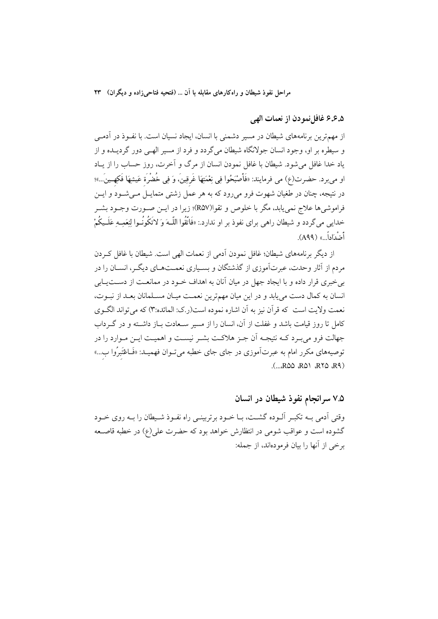۵.۶.۵ غافل نمو دن از نعمات الهي

از مهمترین برنامههای شیطان در مسیر دشمنی با انسان، ایجاد نسیان است. با نفـوذ در آدمـی و سیطره بر او، وجود انسان جولانگاه شیطان میگردد و فرد از مسیر الهـی دور گردیــده و از یاد خدا غافل میشود. شیطان با غافل نمودن انسان از مرگ و آخرت، روز حساب را از یـاد او مىبرد. حضرت(ع) مى فرمايند: «فَأَصْبَحُوا فِي نِعْمَتِهَا غَرقِينَ، وَ فِي خُضْرَة عَيشِهَا فَكِهِ ينَ...»؛ در نتیجه، چنان در طغیان شهوت فرو میرود که به هر عمل زشتی متمایــل مــیشــود و ایــن فراموشيها علاج نمي يابد، مگر با خلوص و تقوا(R۵۷)؛ زيرا در ايــن صــورت وجــود بشــر خدایی می گردد و شیطان راهی برای نفوذ بر او ندارد.: «فَاتَّقُوا اللَّــهَ وَ لاَتَكُونُــوا لِنِعَمِــهِ عَلَــيكُمْ أَضْدَاداً » (A۹۹).

از دیگر برنامههای شیطان؛ غافل نمودن آدمی از نعمات الهی است. شیطان با غافل که دن مردم از آثار وحدت، عبرتآموزی از گذشتگان و بسـیاری نعمــتهـای دیگــر، انســان را در بی خبری قرار داده و با ایجاد جهل در میان آنان به اهداف خـود در ممانعـت از دســتیــابی انسان به كمال دست مى يابد و در اين ميان مهمترين نعمت ميـان مسـلمانان بعـد از نبـوت، نعمت ولايت است كه قرآن نيز به آن اشاره نموده است(ر کي: المائده:٣) که مي تواند الگـوي كامل تا روز قيامت باشد و غفلت از آن، انسان را از مسير سـعادت بــاز داشــته و در گــرداب جهالت فرو می به د کـه نتیجـه اَن جـز هلاکـت بشـر نیسـت و اهمیـت ایـن مـوارد را در توصیههای مکرر امام به عبرتآموزی در جای جای خطبه میتـوان فهمیـد: «فَـاعْتَبرُوا ب...»  $(...$ ROO RON RTO RI)

۷.۵ سرانجام نفوذ شیطان در انسان وقتی اَدمی بـه تکبـر اَلـوده گشـت، بـا خـود برتربینـی راه نفـوذ شـیطان را بـه روی خـود گشوده است و عواقب شومی در انتظارش خواهد بود که حضرت علی(ع) در خطبه قاصــعه برخي از آنها را بيان فرمودهاند، از جمله: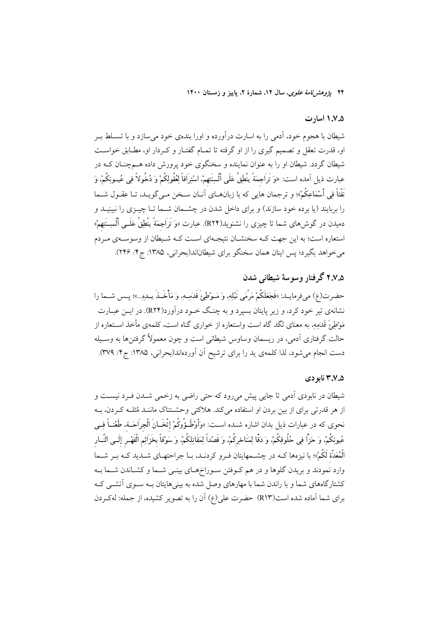۲۴ *یژوهش نامهٔ علوی*، سال ۱۲، شمارهٔ ۲، پاییز و زمستان ۱۴۰۰

### ۰.۵. ۱ اسارت

شیطان با هجوم خود، آدمی را به اسارت درآورده و اورا بندهی خود می سازد و با تســلط بــر او، قدرت تعقل و تصمیم گیری را از او گرفته تا تمـام گفتـار و کـردار او، مطـابق خواسـت شیطان گردد. شیطان او را به عنوان نماینده و سخنگوی خود پرورش داده هـمچنـان کـه در عبارت ذيل آمده است: «وَ تَرَاجمَةً ينْطِقُ عَلَى ٱلْسِنَتِهمْ. اسْتِرَاقاً لِعُقُولِكُمْ وَ دُخُولاً فِي عُيــونِكُمْ، وَ نَفْتاً فِي أَسْمَاعِكُمْ»؛ و ترجمان هايي كه با زبانهــاي آنــان ســخن مــي&ويــد، تــا عقــول شـــما را بربایند (یا برده خود سازند) و برای داخل شدن در چشــمان شــما تــا چیــزی را نبینیــد و دمیدن در گوش۵ای شما تا چیزی را نشنوید(R۲۴). عبارت «وَ تَرَاجمَةً يَنْطِقُ عَلَــى أَلْسِــنَتِهمْ» استعاره است؛ به این جهت کـه سخنشـان نتیجـهای اسـت کـه شـیطان از وسوسـهی مـردم می خواهد بگیرد؛ پس اینان همان سخنگو برای شیطاناند(بحرانی، ۱۳۸۵: ج۴/ ۲۴۶).

## ۲.۷.۵ گرفتار وسوسهٔ شیطانی شدن

حضرت(ع) مىفرمايــد: «فَجَعَلَكُمْ مَرْمَى نَبْلِهِ، وَ مَــوْطِئَ قَدَمِــهِ، وَ مَأْخَــذَ يــدهِ...»؛ يــس شــما را نشانهی تیر خود کرد، و زیر پایتان بسیرد و به چنگ خـود درآورد(R۲۴). در ایــن عبــارت مَوْطِئَ قَدَمِهِ، به معنای لگد گاه است واستعاره از خواری گناه است، کلمهی مأخذ اســتعاره از حالت گرفتاری آدمی، در ریسمان وساوس شیطانی است و چون معمولاً گرفتن۵ا به وسـیله دست انجام میشود، لذا کلمهی ید را برای ترشیح آن آوردهاند(بحرانی، ۱۳۸۵: ج۱/ ۳۷۹).

### ۰.۵٪ نابو دی

شیطان در نابودی اَدمی تا جایی پیش میرود که حتی راضی به زخمی شــدن فـرد نیســت و از هر قدرتی برای از بین بردن او استفاده می کند. هلاکتی وحشـتناک ماننـد مُثلـه کـردن، بـه نحوي كه در عبارات ذيل بدان اشاره شــده اســت: «وَأَوْطَـؤُوكُمْ إِثْخَــانَ الْجِرَاحَــة، طَغْنــاً فِــى عُيونِكُمْ، وَ حَزًّا فِي حُلُوقِكُمْ، وَ دَقًّا لِمَنَاخِرِكُمْ، وَ قَصْداً لِمَقَاتِلِكُمْ، وَ سَوْقاً بخَزائِم الْقَهْـر إلَــي النّــار الْمُعَدَّة لَكُمْ»؛ با نیزهها کــه در چشــمهایتان فــرو کردنــد، بــا جراحتهــای شــدید کــه بــر شـــما وارد نمودند و بریدن گلوها و در هم کـوفتن سـوراخهـای بینـی شـما و کشـاندن شـما بـه کشتارگاههای شما و با راندن شما با مهارهای وصل شده به بینیهایتان بـه سـوی آتشــی کـه برای شما آماده شده است(R۱۳) حضرت علی(ع) آن را به تصویر کشیده، از جمله: لهکردن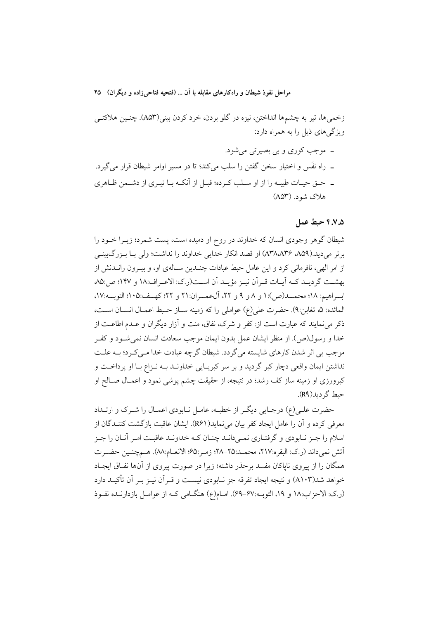زخمبيها، تير به چشمها انداختن، نيزه در گلو بردن، خرد كردن بيني(A۵۳). چنـين هلاكتـي ویژگیهای ذیل را به همراه دارد:

۔ موجب کوری و بی بصیرتی میشود. ـ راه نفَس و اختیار سخن گفتن را سلب میکند؛ تا در مسیر اوامر شیطان قرار میگیرد. ــ حــق حيــات طيبــه را از او ســلب كــرده؛ قبــل از آنكــه بــا تيــرى از دشــمن ظــاهري هلاک شود. (A۵۳)

### ۴.۷.۵ حيط عمل

شیطان گوهر وجودی انسان که خداوند در روح او دمیده است، پست شمرد؛ زیـرا خــود را برتر مي ديد.(A۳۸،A۳۶ ،A۵۹) او قصد انكار خدايي خداوند را نداشت؛ ولي بــا بــزرگيينــي از امر الهی، نافرمانی کرد و این عامل حبط عبادات چنـدین سـالهی او، و بیـرون رانــدنش از بهشت گرديـد كـه آيـات قـر آن نيـز مؤيـد آن اســت(ر.ك: الاعـراف:١٨ و ١٣٧؛ ص:٨٥ ابسراهيم: ١٨؛ محمـــد(ص):١ و ٨ و ٩ و ٢٢، آلءمـــران:٢١ و ٢٢؛ كهــف:١٠٥؛ التوبــه:١٧، المائده: ۵، تغابن:۹). حضرت على(ع) عواملي را كه زمينه سـاز حـبط اعمـال انسـان اسـت، ذکر می نمایند که عبارت است از: کفر و شرک، نفاق، منت و آزار دیگران و عــدم اطاعــت از خدا و رسول(ص). از منظر ایشان عمل بدون ایمان موجب سعادت انسان نمی شـود و کفـر موجب بی اثر شدن کارهای شایسته می گردد. شیطان گرچه عبادت خدا مبی کـرد؛ بـه علـت نداشتن ایمان واقعی دچار کبر گردید و بر سر کبریـایی خداونـد بــه نـزاع بـا او پرداخــت و کبرورزی او زمینه ساز کف رشد؛ در نتیجه، از حقیقت چشم پوشی نمود و اعمـال صـالح او حبط گر دید(R۹).

حضرت علـی(ع) درجـایی دیگـر از خطبـه، عامـل نـابودی اعمـال را شـرک و ارتــداد معرفی کرده و آن را عامل ایجاد کفر بیان می نماید(R۶۱). ایشان عاقبت بازگشت کننــدگان از اسلام را جـز نـابودي و گرفتـاري نمـي دانـد چنـان كـه خداونـد عاقبـت امـر آنـان را جـز آتش نمي داند (ر.ك: البقره:٢١٧، محمـد:٢٥-٢٨؛ زمـر:۶۵؛ الانعـام:٨٨). هـمچنـين حضـرت همگان را از پیروی ناپاکان مفسد برحذر داشته؛ زیرا در صورت پیروی از آنها نفـاق ایجـاد خواهد شد(۵۱۰۳) و نتیجه ایجاد تفرقه جز نـابودی نیسـت و قـراَن نیــز بــر اَن تأکیــد دارد (ر.ک: الاحزاب:١٨ و ١٩، التوبه:۶٧-۶٩). امـام(ع) هنگـامی کـه از عوامـل بازدارنـده نفـوذ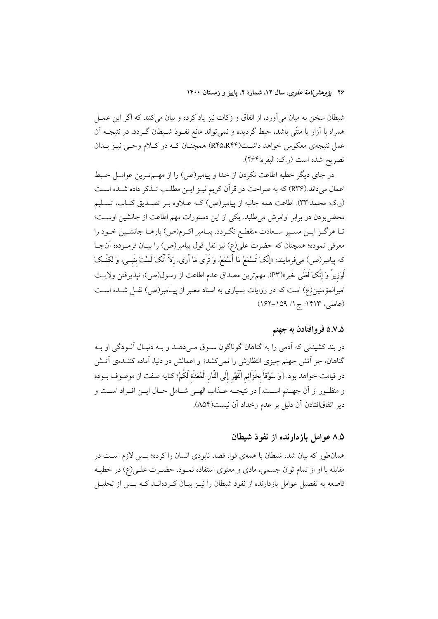۲۶ ي*ژوهشرنامهٔ علوی*، سال ۱۲، شمارهٔ ۲، پاییز و زمستان ۱۴۰۰

شیطان سخن به میان میآورد، از انفاق و زکات نیز یاد کرده و بیان میکنند که اگر این عمــل همراه با آزار یا منتّی باشد، حبط گردیده و نمیتواند مانع نفـوذ شـیطان گـردد. در نتیجـه آن عمل نتیجهی معکوس خواهد داشت(R۴۵،R۴۴) همچنان کـه در کـلام وحـی نیـز بـدان تصريح شده است (ر.ک: البقره:۲۶۴).

در جای دیگر خطبه اطاعت نکردن از خدا و پیامبر(ص) را از مهـمتـرین عوامـل حـبط اعمال میداند.(R۳۶) که به صراحت در قرآن کریم نیـز ایـن مطلـب تـذکر داده شـده اسـت (ر.ک: محمد:۳۳). اطاعت همه جانبه از پیامبر(ص) کــه عــلاوه بــر تصــدیق کتــاب، تســلیم محضبودن در برابر اوامرش میطلبد. یکی از این دستورات مهم اطاعت از جانشین اوست؛ تـا هرگـز ايـن مسـير سـعادت منقطـع نگـردد. پيـامبر اكـرم(ص) بارهـا جانشـين خـود را معرفی نموده؛ همچنان که حضرت علی(ع) نیز نقل قول پیامبر(ص) را بیـان فرمـوده؛ آنجـا كه پيامبر(ص) مىفرمايند: «إنَّكَ تَسْمَعُ مَا أَسْمَعُ، وَ تَرَى مَا أَرَى، إلاّ أَنَّكَ لَسْتَ بَنَبـى، وَ لكِنّـكَ لَوزيرٌ وَ إِنَّكَ لَعَلَى خَيرٍ»(P۳). مهمترين مصداق عدم اطاعت از رسول(ص)، نپذيرفتن ولايـت امیرالمؤمنین(ع) است که در روایات بسیاری به اسناد معتبر از پیـامبر(ص) نقــل شــده اســت (عاملی، ۱۴۱۳: ج۱/ ۱۵۹–۱۶۲)

### ۵.۷.۵ فروافتادن به جهنم

در بند کشیدنی که آدمی را به گناهان گوناگون سـوق مـی،دهـد و بـه دنبـال اَلـودگی او بـه گناهان، جز اتش جهنم چیزی انتظارش را نمیکشد؛ و اعمالش در دنیا، آماده کننـدهی اتـش در قيامت خواهد بود. [وَ سَوْقاً بخَزائِم الْقَهْرِ إلَى النّار الْمُعَدّة لَكُمْ؛ كنايه صفت از موصوف بــوده و منظـور از أن جهـنم اسـت.] در نتيجـه عــذاب الهـبي شــامل حــال ايــن افــراد اســت و دير اتفاقافتادن آن دليل بر عدم رخداد آن نيست(A۵۴).

### ۸.۵ عوامل بازدارنده از نفوذ شیطان

همانطور که بیان شد، شیطان با همهی قوا، قصد نابودی انسان را کرده؛ پـس لازم اسـت در مقابله با او از تمام توان جسمی، مادی و معنوی استفاده نمـود. حضـرت علـی(ع) در خطبـه قاصعه به تفصیل عوامل بازدارنده از نفوذ شیطان را نیـز بیـان کـردهانــد کــه پــس از تحلیــل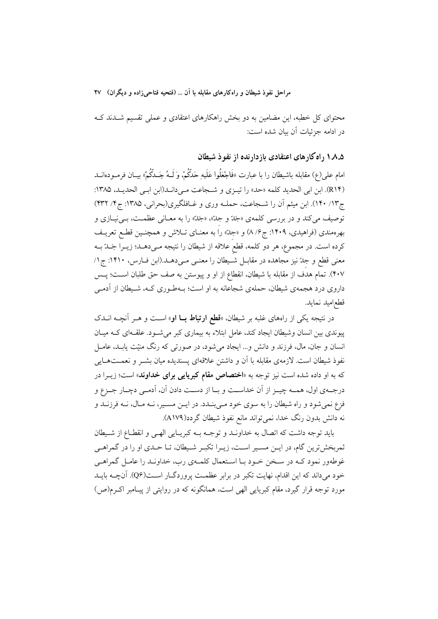محتوای کل خطبه، این مضامین به دو بخش راهکارهای اعتقادی و عملی تقسیم شـدند کـه در ادامه جزئیات آن بیان شده است:

۰٫ ۸٫۵ راه کار های اعتقادی باز دار نده از نفو ذ شیطان

امام على(ع) مقابله باشيطان را با عبارت «فَاجْعَلُوا عَلَيهِ حَدَّكُمْ. وَ لَــهُ جَــدَّكُمْ» بيــان فرمــودهانــد (R١۴). ابن ابي الحديد كلمه «حد» را تيـزي و شـجاعت مـىدانـد(ابن ابـي الحديـد، ١٣٨٥: ج١٣/ ١٣٠). ابن ميثم أن را شـجاعت، حملـه وري و غــافلگيري(بحراني، ١٣٨۵: ج٣/ ۴٣٢) توصيف مي كند و در بررسي كلمهي «جَدّ و جِدّ»، «جَدّ» را به معـاني عظمـت، بـي نيـازي و بهرهمندی (فراهیدی، ۱۴۰۹: ج۶/ ۸) و «جدّ» را به معنــای تــلاش و همچنــین قطــع تعریــف كرده است. در مجموع، هر دو كلمه، قطع علاقه از شيطان را نتيجه مـىدهــد؛ زيــرا جَــدّ بــه معنی قطع و جلّ نیز مجاهده در مقابـل شـیطان را معنـی مـیدهــد.(ابن فــارس، ۱۴۱۰: ج۱/ ۴۰۷). تمام هدف از مقابله با شیطان، انقطاع از او و پیوستن به صف حق طلبان اســت؛ پــس داروی درد هجمه ی شیطان، حملهی شجاعانه به او است؛ بـهطـوری کـه، شـیطان از آدمـی قطع|مبد نمايد.

در نتیجه یکی از راههای غلبه بر شیطان، «قطع ا**رتباط بــا او**» اســت و هــر آنچــه انــدک پیوندی بین انسان وشیطان ایجاد کند، عامل ابتلاء به بیماری کبر می شـود. علقـهای کـه میـان انسان و جان، مال، فرزند و دانش و… ایجاد می شود، در صورتی که رنگ منیّت یابـد، عامــل نفوذ شیطان است. لازمهی مقابله با آن و داشتن علاقهای پسندیده میان بشــر و نعمــتهــایی که به او داده شده است نیز توجه به «**اختصاص مقام کبریایی برای خداوند**» است؛ زیــرا در درجـهي اول، همـه چيــز از آن خداســت و بــا از دســت دادن آن، آدمــي دچــار جــزع و فزع نمیشود و راه شیطان را به سوی خود مـیبنـدد. در ایـن مسـیر، نـه مـال، نـه فرزنـد و نه دانش بدون رنگ خدا، نمی تواند مانع نفوذ شیطان گردد(A۱۷۹).

بايد توجه داشت كه اتصال به خداونـد و توجـه بـه كبريـايي الهـي و انقطـاع از شـيطان ثمربخش ترین گام، در ایــن مســیر اســت، زیــرا تکبــر شــیطان، تــا حــدی او را در گمراهــی غوطهور نمود کـه در سـخن خـود بـا اسـتعمال کلمـهي رب، خداونـد را عامـل گمراهـي خود می داند که این اقدام، نهایت تکبر در برابر عظمـت پروردگــار اســت(Q۶). آنچــه بایــد مورد توجه قرار گیرد، مقام کبریایی الهی است، همانگونه که در روایتی از پیـامبر اکـرم(ص)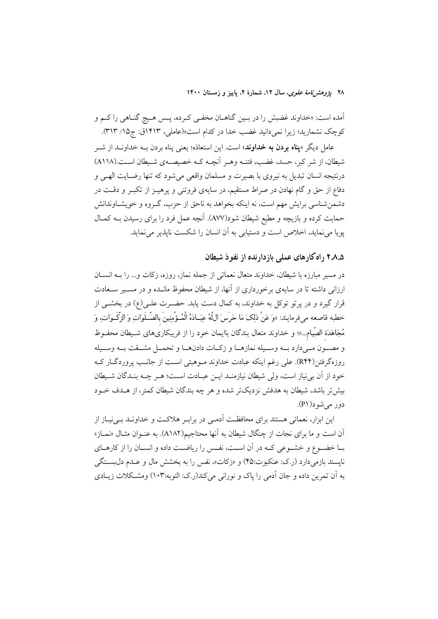۲۸ يژوهشرنامهٔ علوی، سال ۱۲، شمارهٔ ۲، پاييز و زمستان ۱۴۰۰

اّمده است: «خداوند غضبش را در بـین گناهــان مخفــي كـرده، پــس هــيچ گنــاهي را كــم و كوچك نشماريد؛ زيرا نمي دانيد غضب خدا در كدام است»(عاملي، ١٤١٣ق: ج١٥/ ٣١٣).

عامل دیگر «**یناه بردن به خداوند**» است. این استعاذه؛ یعنی پناه بردن بــه خداونــد از شــر شیطان، از شر کبر، حسد، غضب، فتنــه وهــر آنچــه کــه خصیصــهی شــیطان اســت.(A۱۱۸) درنتيجه انسان تبديل به نيروي با بصيرت و مسلمان واقعي مي شود كه تنها رضـايت الهـي و دفاع از حق و گام نهادن در صراط مستقیم، در سایهی فروتنی و پرهیـز از تکبـر و دقـت در دشمن شناسی برایش مهم است، نه اینکه بخواهد به ناحق از حزب، گـروه و خویشـاوندانش حمایت کرده و بازیچه و مطیع شیطان شود(AVV). آنچه عمل فرد را برای رسیدن بـه کمـال یویا می نماید، اخلاص است و دستیابی به آن انسان را شکست نایذیر می نماید.

### ۲.۸.۵ راه کارهای عملی بازدارنده از نفوذ شیطان

در مسیر مبارزه با شیطان، خداوند متعال نعماتی از جمله نماز، روزه، زكات و… را بــه انســان ارزانی داشته تا در سایهی برخورداری از آنها، از شیطان محفوظ مانـده و در مسـير سـعادت قرار گیرد و در یرتو توکل به خداوند، به کمال دست یابد. حضـرت علـی(ع) در بخشــی از خطبه قاصعه مي فرمايند: «وَ عَنْ ذلِكَ مَا حَرَسَ اللَّهُ عِبَـادَهُ الْمُـؤْمِنِينَ بِالصِّـلَوَاتِ وَ الزّكَـوَاتِ، وَ مُجَاهَدَة الصِّيام...»؛ و خداوند متعال بندگان باايمان خود را از فريبكارىهاى شـيطان محفــوظ و مصـون مـي دارد بـه وسـيله نمازهـا و زكـات دادنهـا و تحمـل مشـقت بـه وسـيله روزهگرفتن(R۴۴). علی رغم اینکه عبادت خداوند مـوهبتی اسـت از جانـب پروردگــار کــه خود از آن بی نیاز است، ولی شیطان نیازمنـد ایــن عبـادت اســت؛ هــر چــه بنـدگان شــیطان بیش تر باشد، شیطان به هدفش نزدیکتر شده و هر چه بندگان شیطان کمتر، از هــدف خــود دور مرشود(P۱).

این ابزار، نعماتی هستند برای محافظت آدمـی در برابـر هلاکـت و خداونـد بـی نیـاز از آن است و ما برای نجات از چنگال شیطان به آنها محتاجیم(A۱۸۲). به عنـوان مثـال «نمـاز» بـا خضـوع و خشـوعى كـه در آن اسـت، نفـس را رياضـت داده و انسـان را از كارهـاي نايسند بازمي دارد (ر.ک: عنکبوت:۴۵) و «زكات»، نفس را به بخشش مال و عـدم دلبســتگي به اّن تمرین داده و جان اَدمی را پاک و نورانی میکند(ر.ک: التوبه:۱۰۳) ومشکلات زیـادی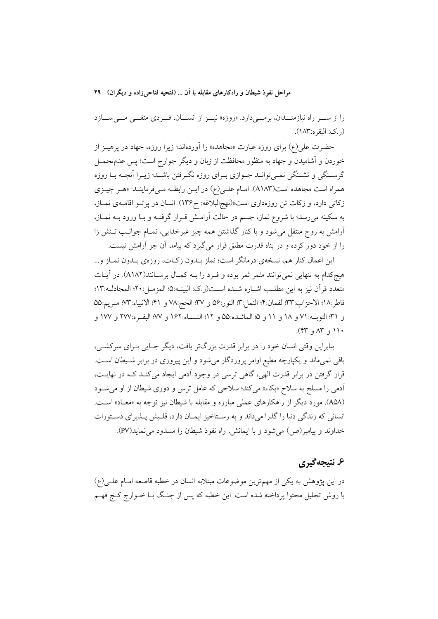را از سو راه نیازمنـــدان، برمـــیدارد. «روزه» نیـــز از انســـان، فـــردی متقـــی مـــیســـازد  $(\lambda \wedge \mathfrak{r}_i)$ ر کے: البقہ ہ $(\lambda \wedge \mathfrak{r}_i)$ 

حضرت علی(ع) برای روزه عبارت «مجاهده» را آوردهاند؛ زیرا روزه، جهاد در پرهیــز از خوردن و آشامیدن و جهاد به منظور محافظت از زبان و دیگر جوارح است؛ پس عدمتحمــل گرسـنگي و تشـنگي نمـيتوانـد جـوازي بـراي روزه نگـرفتن باشـد؛ زيـرا اَنچـه بـا روزه همراه است مجاهده است(A۱۸۳). امـام علـي(ع) در ايـن رابطـه مـيفرماينـد: «هـر چيـزي زكاتي دارد، و زكات تن روزهداري است»(نهج البلاغه: ح١٣۶). انسان در پرتو اقامهي نمـاز، به سکینه میرسد؛ با شروع نماز، جسم در حالت آرامـش قــرار گرفتــه و بــا ورود بــه نمــاز، ۔<br>آرامش به روح منتقل می شود و با کنار گذاشتن همه چیز غیرخدایی، تمــام جوانــب تــنش زا را از خود دور کرده و در پناه قدرت مطلق قرار می گیرد که پیامد آن جز آرامش نیست.

این اعمال کنار هم، نسخهی درمانگر است؛ نماز بــدون زکــات، روزهی بــدون نمــاز و... هیچکدام به تنهایی نمیتوانند مثمر ثمر بوده و فـرد را بــه کمـال برسـانند(A۱۸۲). در آیــات متعدد قرآن نيز به اين مطلب اشـاره شـده اسـت(ر.ک: البينـه:۵؛ المزمـل:۲۰؛ المجادلـه:۱۳؛ فاطر:١٨؛ الاحزاب:٣٣؛ لقمان:٣؛ النمل:٣: النور:٥۶ و ٣٧؛ الحج:٧٨ و ۴١؛ الانبياء:٧٣؛ مـريم:٥۵ و ٣١؛ التوبه: ٧١ و ١٨ و ١١ و ٥؛ المائــده:٥٥ و ١٢؛ النســاء:١۶٢ و ٧٧؛ البقــره:٢٧٧ و ١٧٧ و  $(51)$  +  $(41)$ 

بنابراین وقتی انسان خود را در برابر قدرت بزرگتر یافت، دیگر جـایی بـرای سرکشـی، باقی نمیماند و یکپارچه مطیع اوامر پروردگار میشود و این پیروزی در برابر شـیطان اسـت. قرار گرفتن در برابر قدرت الهي، گاهي ترسي در وجود آدمي ايجاد مي كنـد كـه در نهايـت، اًدمی را مسلح به سلاح «بکاء» میکند؛ سلاحی که عامل ترس و دوری شیطان از او می شـود (A۵۸). مورد دیگر از راهکارهای عملی مبارزه و مقابله با شیطان نیز توجه به «معـاد» اسـت. انسانی که زندگی دنیا را گذرا میداند و به رستاخیز ایمان دارد، قلـبش پـذیرای دسـتورات خداوند و پیامبر(ص) می شود و با ایمانش، راه نفوذ شیطان را مسدود می نماید(PV).

### ۶. نتيجه گيري

در این پژوهش به یکی از مهمترین موضوعات مبتلابه انسان در خطبه قاصعه امـام علـی(ع) با روش تحلیل محتوا پرداخته شده است. این خطبه که پس از جنگ بـا خــوارج کــج فهــم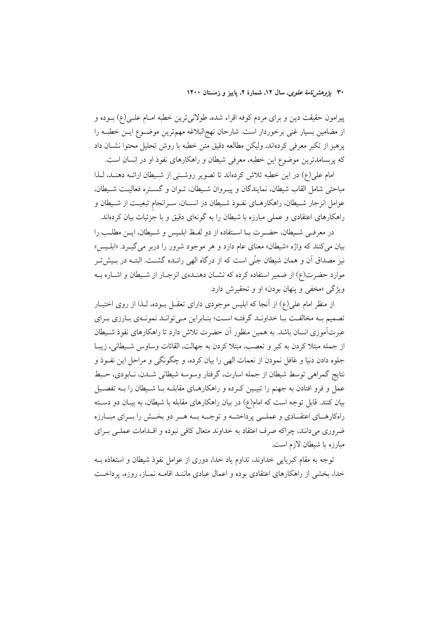۳۰ یژ*وهشرنامهٔ علوی*، سال ۱۲، شمارهٔ ۲، پاییز و زمستان ۱۴۰۰

پیرامون حقیقت دین و برای مردم کوفه اقراء شده، طولانیترین خطبه امـام علــی(ع) بــوده و از مضامین بسیار غنی برخوردار است. شارحان نهج|لبلاغه مهمترین موضـوع ایـن خطبـه را پرهیز از تکبر معرفی کردهاند، ولیکن مطالعه دقیق متن خطبه با روش تحلیل محتوا نشـان داد که پربسامدترین موضوع این خطبه، معرفی شیطان و راهکارهای نفوذ او در انسان است.

امام على(ع) در اين خطبه تلاش كردهاند تا تصوير روشني از شـيطان ارائــه دهنـد، لـذا مباحثي شامل القاب شيطان، نمايندگان و پيـروان شـيطان، تـوان و گسـتره فعاليـت شـيطان، عوامل انزجار شـيطان، راهكارهـاي نفـوذ شـيطان در انسـان، سـرانجام تبعيـت از شـيطان و راهکارهای اعتقادی و عملی مبارزه با شیطان را به گونهای دقیق و با جزئیات بیان کردهاند.

در معرفـي شـيطان، حضـرت بـا اســتفاده از دو لفـظ ابلـيس و شـيطان، ايـن مطلـب را بيان مي كنند كه واژه «شيطان» معناي عام دارد و هر موجود شرور را دربر مي گيـرد. «ابلـيس» نیز مصداق آن و همان شیطان جنّی است که از درگاه الهی رانــده گشــت. البتــه در بــیش تــر موارد حضرت(ع) از ضمیر استفاده کرده که نشـان دهنـدهی انزجـار از شـيطان و اشــاره بــه ویژگی «مخفی و پنهان بودن» او و تحقیرش دارد.

از منظر امام علی(ع) از آنجا که ابلیس موجودی دارای تعقــل بــوده، لــذا از روی اختیــار تصمیم بـه مخالفـت بـا خداونـد گرفتـه اسـت؛ بنـابراین مـی توانـد نمونـهی بـارزی بـرای عبرتآموزی انسان باشد. به همین منظور آن حضرت تلاش دارد تا راهکارهای نفوذ شـیطان از جمله مبتلا كردن به كبر و تعصب، مبتلا كردن به جهالت، القائات وساوس شـيطاني، زيبـا جلوه دادن دنیا و غافل نمودن از نعمات الهی را بیان کرده، و چگونگی و مراحل این نفــوذ و نتايج گمراهي توسط شيطان از جمله اسارت، گرفتار وسوسه شيطاني شــدن، نــابودي، حـبط عمل و فرو افتادن به جهنم را تبیــین کــرده و راهکارهــای مقابلــه بــا شــیطان را بــه تفصــیل بیان کنند. قابل توجه است که امام(ع) در بیان راهکارهای مقابله با شیطان، به بیــان دو دســته راهکارهـای اعتقـادی و عملــی پرداختــه و توجــه بــه هــر دو بخــش را بــرای مبــارزه ضروری می دانند، چراکه صرف اعتقاد به خداوند متعال کافی نبوده و اقــدامات عملــی بــرای مبارزه با شیطان لازم است.

توجه به مقام كبريايي خداوند، تداوم ياد خدا، دورى از عوامل نفوذ شيطان و استعاذه بــه خدا، بخشی از راهکارهای اعتقادی بوده و اعمال عبادی ماننـد اقامـه نمـاز، روزه، یرداخـت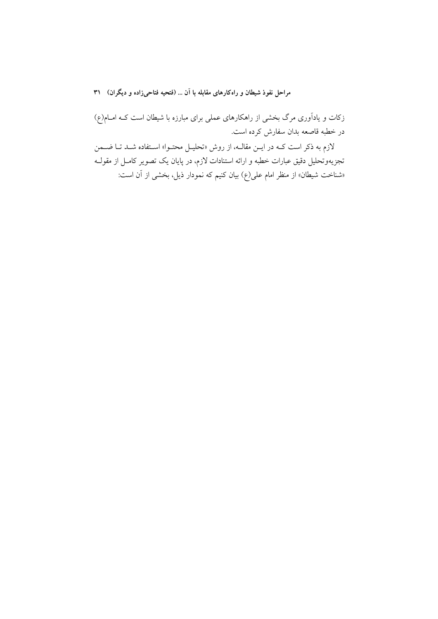زکات و یادآوری مرگ بخشی از راهکارهای عملی برای مبارزه با شیطان است کـه امــام(ع) در خطبه قاصعه بدان سفارش کرده است.

لازم به ذکر است کــه در ایــن مقالــه، از روش «تحلیــل محتــوا» اســتفاده شــد تــا ضـــمن تجزیهوتحلیل دقیق عبارات خطبه و ارائه استنادات لازم، در پایان یک تصویر کامــل از مقولــه «شناخت شیطان» از منظر امام عل<sub>ی</sub>(ع) بیان کنیم که نمودار ذیل، بخشی از آن است: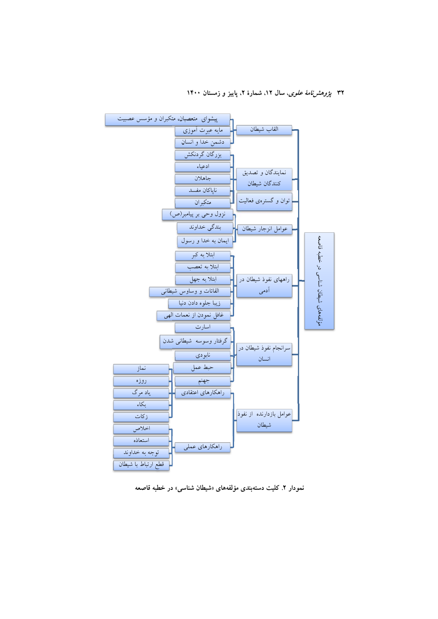۳۲ پ*ژوهشنامهٔ علوی*، سال ۱۲، شمارهٔ ۲، پاییز و زمستان ۱۴۰۰



نمودار ۲. کلیت دستهبندی مؤلفههای «شیطان شناسی» در خطبه قاصعه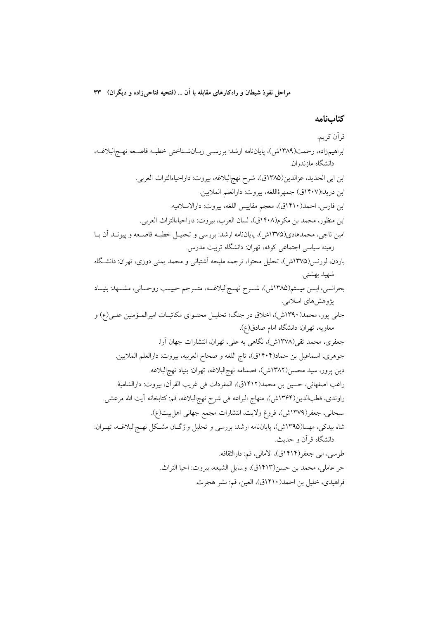#### كتابنامه

قرآن كريم. ابراهيمزاده، رحمت(١٣٨٩ش)، پاياننامه ارشد: بررسـي زبـانشـناختي خطبـه قاصـعه نهـجالبلاغـه، دانشگاه ماز ندر ان. ابن ابي الحديد، عزالدين(١٣٨٥ق)، شرح نهج البلاغه، بيروت: داراحياءالتراث العربي. ابن دريد؛(١۴٠٧ق) جمهرةاللغه، بيروت: دارالعلم الملايين. ابن فارس، احمد(١۴١٠ق)، معجم مقاييس اللغه، بيروت: دارالاسلاميه. ابن منظور، محمد بن مكرم(۱۴۰۸ق)، لسان العرب، بيروت: داراحياءالتراث العربي. امین ناجی، محمدهادی(۱۳۷۵ش)، پایاننامه ارشد: بررسی و تحلیـل خطبـه قاصـعه و پیونــد آن بــا زمینه سیاسی اجتماعی کوفه، تهران: دانشگاه تربیت مدرس. باردن، لورنس(۱۳۷۵ش)، تحلیل محتوا، ترجمه ملیحه آشتیانی و محمد یمنی دوزی، تهران: دانشگاه شهيد بهشتي. بحرانــي، ابــن ميــثم(١٣٨٥ش)، شــرح نهــج|لبلاغــه، متــرجم حبيــب روحــاني، مشــهد: بنيــاد پژوهشهای اسلامی. جاني يور، محمد(١٣٩٠ش)، اخلاق در جنگ؛ تحليـل محتـواي مكاتبـات اميرالمـؤمنين علـي(ع) و معاويه، تهران: دانشگاه امام صادق(ع). جعفري، محمد تقي(١٣٧٨ش)، نگاهي به علي، تهران، انتشارات جهان آرا. جوهري، اسماعيل بن حماد(١۴٠۴ق)، تاج اللغه و صحاح العربيه، بيروت: دارالعلم الملايين. دين پرور، سيد محسن(١٣٨٢ش)، فصلنامه نهج|لبلاغه، تهران: بنياد نهج|لبلاغه. راغب اصفهاني، حسين بن محمد(١۴١٢ق)، المفردات في غريب القرآن، بيروت: دارالشامية. راوندي، قطبالدين(١٣۶۴ش)، منهاج البراعه في شرح نهج|لبلاغه، قم: كتابخانه آيت الله مرعشي. سبحاني، جعفر(١٣٧٩ش)، فروغ ولايت، انتشارات مجمع جهاني اهلٍبيت(ع). شاه بيدكي، مهسا(۱۳۹۵ش)، پايان $i$ امه ارشد: بررسي و تحليل واژگـان مشـكل نهـجالبلاغـه، تهـران: دانشگاه قر آن و حدیث. طوسي، ابي جعفر(١٤١٤ق)، الامالي، قم: دارالثقافه. حر عاملي، محمد بن حسن(١٤١٣ق)، وسايل الشيعه، بيروت: احيا التراث. فراهيدي، خليل بن احمد(١۴١٠ق)، العين، قم: نشر هجرت.